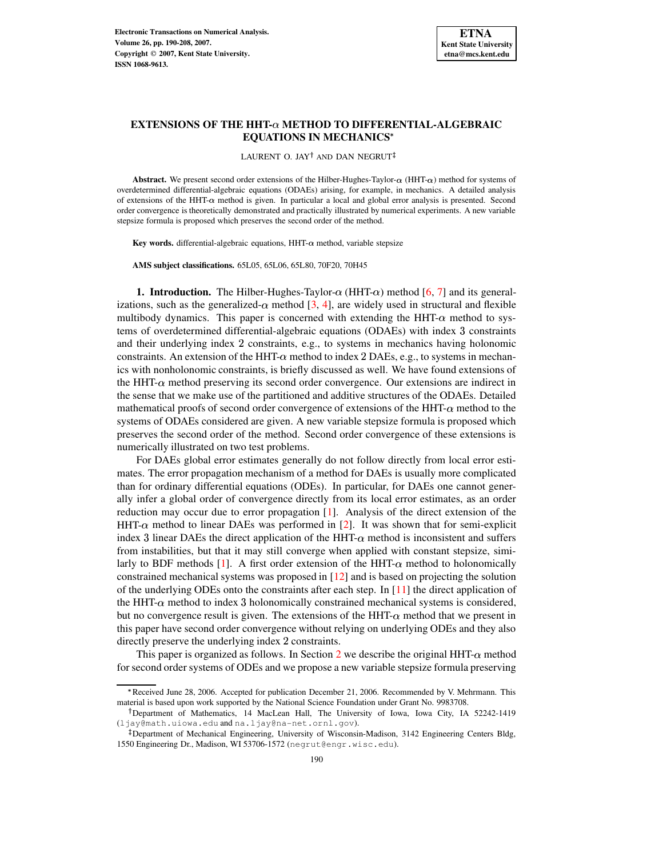

# $\overline{\textbf{EXTENSIONS}}$  OF THE HHT- $\alpha$  METHOD TO DIFFERENTIAL-ALGEBRAIC **EQUATIONS IN MECHANICS**

LAURENT O. JAY<sup>†</sup> AND DAN NEGRUT<sup>‡</sup>

**Abstract.** We present second order extensions of the Hilber-Hughes-Taylor- $\alpha$  (HHT- $\alpha$ ) method for systems of overdetermined differential-algebraic equations (ODAEs) arising, for example, in mechanics. A detailed analysis of extensions of the HHT- $\alpha$  method is given. In particular a local and global error analysis is presented. Second order convergence is theoretically demonstrated and practically illustrated by numerical experiments. A new variable stepsize formula is proposed which preserves the second order of the method.

**Key** words. differential-algebraic equations,  $HHT-\alpha$  method, variable stepsize

**AMS subject classifications.** 65L05, 65L06, 65L80, 70F20, 70H45

**1. Introduction.** The Hilber-Hughes-Taylor- $\alpha$  (HHT- $\alpha$ ) method [\[6,](#page-18-0) [7\]](#page-18-1) and its generalizations, such as the generalized- $\alpha$  method [\[3,](#page-18-2) [4\]](#page-18-3), are widely used in structural and flexible multibody dynamics. This paper is concerned with extending the HHT- $\alpha$  method to systems of overdetermined differential-algebraic equations (ODAEs) with index 3 constraints and their underlying index 2 constraints, e.g., to systems in mechanics having holonomic constraints. An extension of the HHT- $\alpha$  method to index 2 DAEs, e.g., to systems in mechanics with nonholonomic constraints, is briefly discussed as well. We have found extensions of the HHT- $\alpha$  method preserving its second order convergence. Our extensions are indirect in the sense that we make use of the partitioned and additive structures of the ODAEs. Detailed mathematical proofs of second order convergence of extensions of the HHT- $\alpha$  method to the systems of ODAEs considered are given. A new variable stepsize formula is proposed which preserves the second order of the method. Second order convergence of these extensions is numerically illustrated on two test problems.

For DAEs global error estimates generally do not follow directly from local error estimates. The error propagation mechanism of a method for DAEs is usually more complicated than for ordinary differential equations (ODEs). In particular, for DAEs one cannot generally infer a global order of convergence directly from its local error estimates, as an order reduction may occur due to error propagation [\[1\]](#page-18-4). Analysis of the direct extension of the  $HHT-\alpha$  method to linear DAEs was performed in [\[2\]](#page-18-5). It was shown that for semi-explicit index 3 linear DAEs the direct application of the HHT- $\alpha$  method is inconsistent and suffers from instabilities, but that it may still converge when applied with constant stepsize, simi-larly to BDF methods [\[1\]](#page-18-4). A first order extension of the HHT- $\alpha$  method to holonomically constrained mechanical systems was proposed in [\[12\]](#page-18-6) and is based on projecting the solution of the underlying ODEs onto the constraints after each step. In [\[11\]](#page-18-7) the direct application of the HHT- $\alpha$  method to index 3 holonomically constrained mechanical systems is considered, but no convergence result is given. The extensions of the  $HHT<sub>-\alpha</sub>$  method that we present in this paper have second order convergence without relying on underlying ODEs and they also directly preserve the underlying index 2 constraints.

This paper is organized as follows. In Section [2](#page-1-0) we describe the original  $HHT<sub>-\alpha</sub>$  method for second order systems of ODEs and we propose a new variable stepsize formula preserving

<sup>\*</sup> Received June 28, 2006. Accepted for publication December 21, 2006. Recommended by V. Mehrmann. This material is based upon work supported by the National Science Foundation under Grant No. 9983708.

<sup>-</sup> Department of Mathematics, 14 MacLean Hall, The University of Iowa, Iowa City, IA 52242-1419 (ljay@math.uiowa.edu and na.ljay@na-net.ornl.gov).

Department of Mechanical Engineering, University of Wisconsin-Madison, 3142 Engineering Centers Bldg, 1550 Engineering Dr., Madison, WI 53706-1572 (negrut@engr.wisc.edu).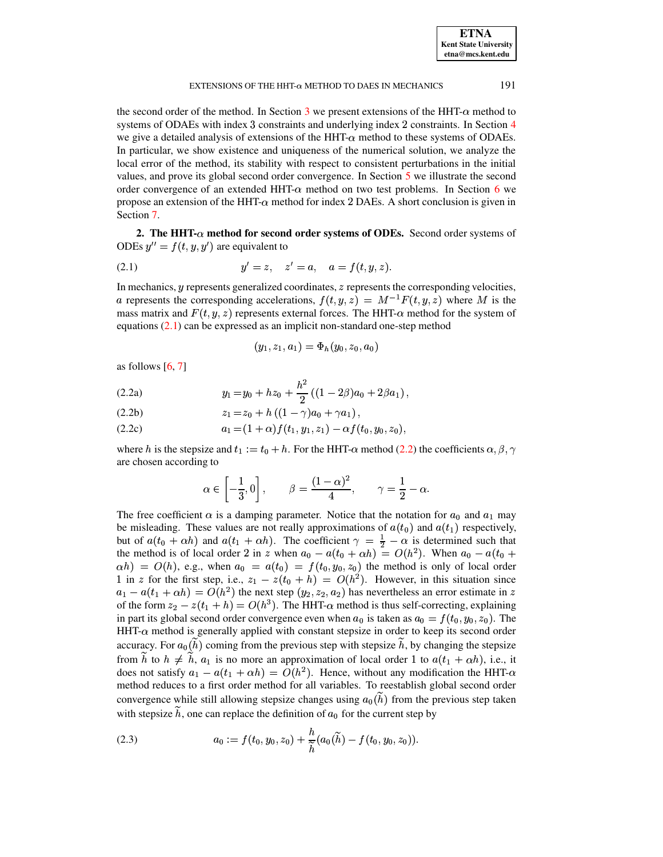| <b>ETNA</b>                  |
|------------------------------|
| <b>Kent State University</b> |
| etna@mcs.kent.edu            |

the second order of the method. In Section [3](#page-2-0) we present extensions of the  $HHT<sub>-\alpha</sub>$  method to systems of ODAEs with index 3 constraints and underlying index 2 constraints. In Section [4](#page-3-0) we give a detailed analysis of extensions of the  $HHT-\alpha$  method to these systems of ODAEs. In particular, we show existence and uniqueness of the numerical solution, we analyze the local error of the method, its stability with respect to consistent perturbations in the initial values, and prove its global second order convergence. In Section [5](#page-12-0) we illustrate the second order convergence of an extended HHT- $\alpha$  method on two test problems. In Section [6](#page-15-0) we propose an extension of the  $HHT\alpha$  method for index 2 DAEs. A short conclusion is given in Section [7.](#page-17-0)

<span id="page-1-0"></span>**2. The HHT- method for second order systems of ODEs.** Second order systems of ODEs  $y'' = f(t, y, y')$  are equivalent to

<span id="page-1-1"></span>(2.1) 
$$
y' = z, \quad z' = a, \quad a = f(t, y, z).
$$

In mechanics,  $\gamma$  represents generalized coordinates,  $\gamma$  represents the corresponding velocities, a represents the corresponding accelerations,  $f(t, y, z) = M^{-1}F(t, y, z)$  where M is the mass matrix and  $F(t, y, z)$  represents external forces. The HHT- $\alpha$  method for the system of equations [\(2.1\)](#page-1-1) can be expressed as an implicit non-standard one-step method

$$
(y_1,z_1,a_1)=\Phi_h(y_0,z_0,a_0)
$$

<span id="page-1-2"></span>as follows  $[6, 7]$  $[6, 7]$  $[6, 7]$ 

<span id="page-1-3"></span>(2.2a) 
$$
y_1 = y_0 + h z_0 + \frac{h^2}{2} ((1 - 2\beta)a_0 + 2\beta a_1),
$$

$$
(2.2b) \t z_1 = z_0 + h ((1 - \gamma)a_0 + \gamma a_1),
$$

$$
(2.2c) \t\t a_1 = (1+\alpha) f(t_1, y_1, z_1) - \alpha f(t_0, y_0, z_0),
$$

where h is the stepsize and  $t_1 := t_0 + h$ . For the HHT- $\alpha$  method [\(2.2\)](#page-1-2) the coefficients  $\alpha, \beta, \gamma$ are chosen according to

$$
\alpha \in \left[-\frac{1}{3},0\right], \qquad \beta = \frac{(1-\alpha)^2}{4}, \qquad \gamma = \frac{1}{2} - \alpha.
$$

The free coefficient  $\alpha$  is a damping parameter. Notice that the notation for  $a_0$  and  $a_1$  may be misleading. These values are not really approximations of  $a(t_0)$  and  $a(t_1)$  respectively, but of  $a(t_0 + \alpha h)$  and  $a(t_1 + \alpha h)$ . The coefficient  $\gamma = \frac{1}{2} - \alpha$  is determined such that the method is of local order 2 in z when  $a_0 - a(t_0 + \alpha h) = O(h^2)$ . When  $a_0 - a(t_0 +$  $\alpha(h) = O(h)$ , e.g., when  $a_0 = a(t_0) = f(t_0, y_0, z_0)$  the method is only of local order 1 in z for the first step, i.e.,  $z_1 - z(t_0 + h) = O(h^2)$ . However, in this situation since  $a_1 - a(t_1 + \alpha h) = O(h^2)$  the next step  $(y_2, z_2, a_2)$  has nevertheless an error estimate in z of the form  $z_2 - z(t_1 + h) = O(h^3)$ . The HHT- $\alpha$  method is thus self-correcting, explaining in part its global second order convergence even when  $a_0$  is taken as  $a_0 = f(t_0, y_0, z_0)$ . The  $HHT-\alpha$  method is generally applied with constant stepsize in order to keep its second order accuracy. For  $a_0(\tilde{h})$  coming from the previous step with stepsize  $\tilde{h}$ , by changing the stepsize from h to  $h \neq h$ ,  $a_1$  is no more an approximation of local order 1 to  $a(t_1 + \alpha h)$ , i.e., it does not satisfy  $a_1 - a(t_1 + \alpha h) = O(h^2)$ . Hence, without any modification the HHT- $\alpha$ method reduces to a first order method for all variables. To reestablish global second order convergence while still allowing stepsize changes using  $a_0(\tilde{h})$  from the previous step taken with stepsize  $\tilde{h}$ , one can replace the definition of  $a_0$  for the current step by

<span id="page-1-4"></span>(2.3) 
$$
a_0 := f(t_0, y_0, z_0) + \frac{h}{\widetilde{h}}(a_0(\widetilde{h}) - f(t_0, y_0, z_0)).
$$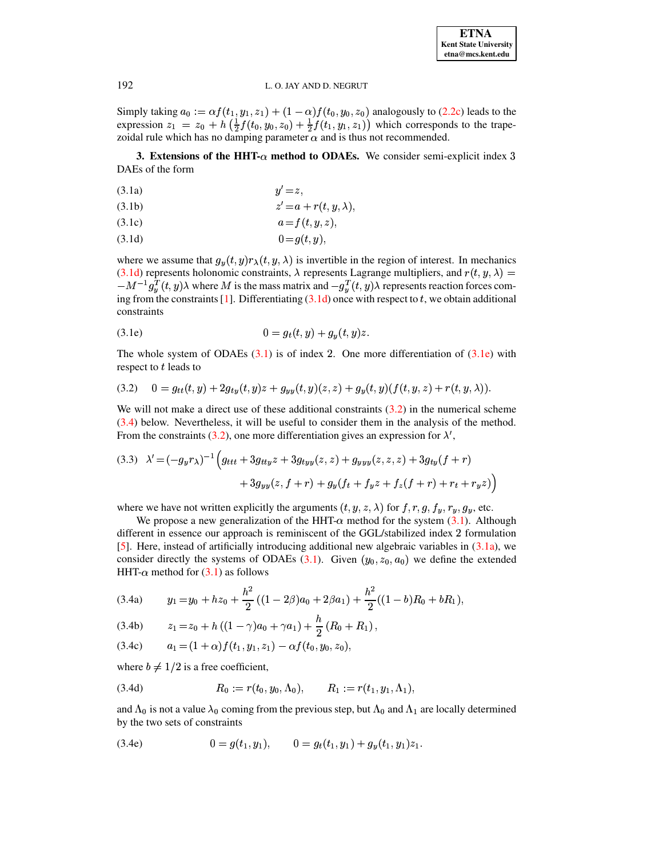Simply taking  $a_0 := \alpha f(t_1, y_1, z_1) + (1 - \alpha) f(t_0, y_0, z_0)$  analogously to [\(2.2c\)](#page-1-3) leads to the expression  $z_1 = z_0 + h\left(\frac{1}{2}f(t_0, y_0, z_0) + \frac{1}{2}f(t_1, y_1, z_1)\right)$  which corresponds to the trapezoidal rule which has no damping parameter  $\alpha$  and is thus not recommended.

<span id="page-2-2"></span><span id="page-2-0"></span>**3. Extensions of the HHT-** $\alpha$  **method to ODAEs.** We consider semi-explicit index 3 DAEs of the form

<span id="page-2-1"></span>
$$
(3.1a) \t\t y'=z,
$$

$$
(3.1b) \t\t\t z' = a + r(t, y, \lambda),
$$

- (3.1c)  $a = f(t, y, z),$
- (3.1d)  $0 = g(t, y),$

where we assume that  $g_y(t, y) r_\lambda(t, y, \lambda)$  is invertible in the region of interest. In mechanics [\(3.1d\)](#page-2-1) represents holonomic constraints,  $\lambda$  represents Lagrange multipliers, and  $r(t, y, \lambda)$  =  $-M^{-1}g_{\nu}^{T}(t, y)\lambda$  where M is the mass matrix and  $-g_{\nu}^{T}(t, y)\lambda$  represents reaction forces com-ing from the constraints [\[1\]](#page-18-4). Differentiating  $(3.1d)$  once with respect to t, we obtain additional constraints

<span id="page-2-3"></span>(3.1e) 
$$
0 = g_t(t, y) + g_y(t, y)z.
$$

The whole system of ODAEs  $(3.1)$  is of index 2. One more differentiation of  $(3.1e)$  with respect to  $t$  leads to

<span id="page-2-4"></span>
$$
(3.2) \quad 0 = g_{tt}(t,y) + 2g_{ty}(t,y)z + g_{yy}(t,y)(z,z) + g_y(t,y)(f(t,y,z) + r(t,y,\lambda)).
$$

We will not make a direct use of these additional constraints  $(3.2)$  in the numerical scheme [\(3.4\)](#page-2-5) below. Nevertheless, it will be useful to consider them in the analysis of the method. From the constraints [\(3.2\)](#page-2-4), one more differentiation gives an expression for  $\lambda'$ ,

<span id="page-2-9"></span>
$$
(3.3) \quad \lambda' = (-g_y r_\lambda)^{-1} \Big( g_{ttt} + 3g_{tty} z + 3g_{tyy}(z, z) + g_{yyy}(z, z, z) + 3g_{ty}(f + r) + 3g_{yy}(z, f + r) + g_y(f_t + f_y z + f_z(f + r) + r_t + r_y z) \Big)
$$

where we have not written explicitly the arguments  $(t, y, z, \lambda)$  for  $f, r, g, f_y, r_y, g_y$ , etc.

We propose a new generalization of the HHT- $\alpha$  method for the system [\(3.1\)](#page-2-2). Although different in essence our approach is reminiscent of the GGL/stabilized index 2 formulation [\[5\]](#page-18-8). Here, instead of artificially introducing additional new algebraic variables in  $(3.1a)$ , we consider directly the systems of ODAEs [\(3.1\)](#page-2-2). Given  $(y_0, z_0, a_0)$  we define the extended HHT- $\alpha$  method for [\(3.1\)](#page-2-2) as follows

<span id="page-2-7"></span><span id="page-2-5"></span>
$$
(3.4a) \t y_1 = y_0 + h z_0 + \frac{h^2}{2} ((1 - 2\beta)a_0 + 2\beta a_1) + \frac{h^2}{2} ((1 - b)R_0 + bR_1),
$$

$$
(3.4b) \t z1 = z0 + h ((1 - \gamma)a0 + \gamma a1) + \frac{h}{2} (R0 + R1),
$$

$$
(3.4c) \t a1 = (1 + \alpha) f(t1, y1, z1) - \alpha f(t0, y0, z0),
$$

where  $b \neq 1/2$  is a free coefficient,

<span id="page-2-6"></span>(3.4d) 
$$
R_0 := r(t_0, y_0, \Lambda_0), \qquad R_1 := r(t_1, y_1, \Lambda_1),
$$

and  $\Lambda_0$  is not a value  $\lambda_0$  coming from the previous step, but  $\Lambda_0$  and  $\Lambda_1$  are locally determined by the two sets of constraints

<span id="page-2-8"></span>(3.4e) 
$$
0 = g(t_1, y_1), \qquad 0 = g_t(t_1, y_1) + g_y(t_1, y_1)z_1.
$$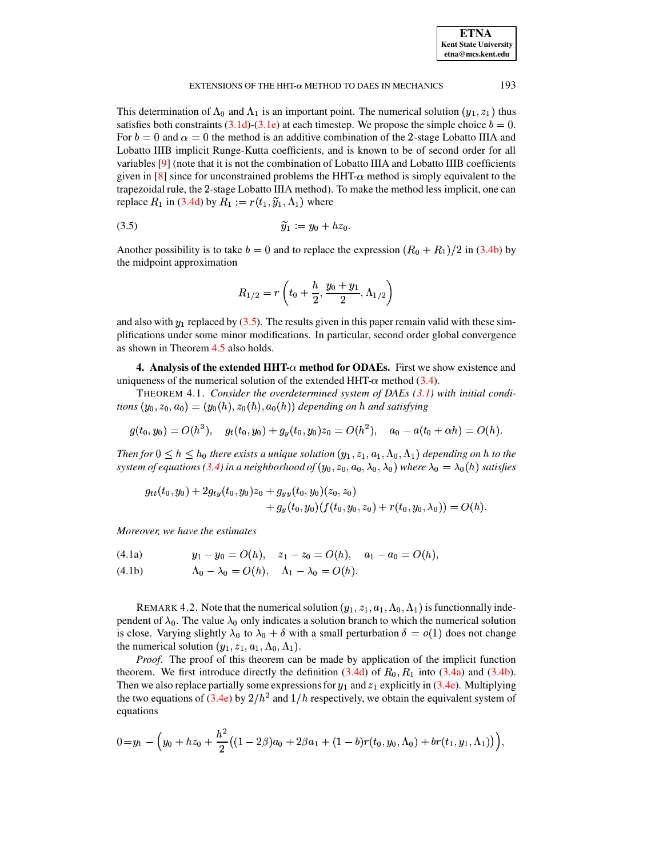| <b>ETNA</b>                  |
|------------------------------|
| <b>Kent State University</b> |
| etna@mcs.kent.edu            |

This determination of  $\Lambda_0$  and  $\Lambda_1$  is an important point. The numerical solution  $(y_1, z_1)$  thus satisfies both constraints  $(3.1d)-(3.1e)$  $(3.1d)-(3.1e)$  $(3.1d)-(3.1e)$  at each timestep. We propose the simple choice  $b=0$ . For  $b=0$  and  $\alpha=0$  the method is an additive combination of the 2-stage Lobatto IIIA and Lobatto IIIB implicit Runge-Kutta coefficients, and is known to be of second order for all variables [\[9\]](#page-18-9) (note that it is not the combination of Lobatto IIIA and Lobatto IIIB coefficients given in [\[8\]](#page-18-10) since for unconstrained problems the HHT- $\alpha$  method is simply equivalent to the trapezoidal rule, the 2-stage Lobatto IIIA method). To make the method less implicit, one can replace  $R_1$  in [\(3.4d\)](#page-2-6) by  $R_1 := r(t_1, \tilde{y}_1, \Lambda_1)$  where

$$
\widetilde{y}_1 := y_0 + h z_0.
$$

Another possibility is to take  $b=0$  and to replace the expression  $(R_0 + R_1)/2$  in [\(3.4b\)](#page-2-7) by the midpoint approximation

<span id="page-3-1"></span>
$$
R_{1/2}=r\left(t_{0}+\frac{h}{2},\frac{y_{0}+y_{1}}{2},\Lambda_{1/2}\right)
$$

and also with  $y_1$  replaced by [\(3.5\)](#page-3-1). The results given in this paper remain valid with these sim-) plifications under some minor modifications. In particular, second order global convergence as shown in Theorem [4.5](#page-9-0) also holds.

<span id="page-3-0"></span>**4.** Analysis of the extended HHT- $\alpha$  method for ODAEs. First we show existence and uniqueness of the numerical solution of the extended HHT- $\alpha$  method [\(3.4\)](#page-2-5).

<span id="page-3-3"></span>THEOREM 4.1. *Consider the overdetermined system of DAEs [\(3.1\)](#page-2-2) with initial conditions*  $(y_0, z_0, a_0) = (y_0(h), z_0(h), a_0(h))$  depending on h and satisfying

$$
g(t_0, y_0) = O(h^3), \quad g_t(t_0, y_0) + g_y(t_0, y_0) z_0 = O(h^2), \quad a_0 - a(t_0 + \alpha h) = O(h).
$$

*Then* for  $0 \leq h \leq h_0$  there exists a unique solution  $(y_1, z_1, a_1, \Lambda_0, \Lambda_1)$  depending on h to the  $s$ ystem of equations [\(3.4\)](#page-2-5) in a neighborhood of  $(y_0, z_0, a_0, \lambda_0, \lambda_0)$  where  $\lambda_0 = \lambda_0(h)$  satisfies

<span id="page-3-2"></span>
$$
g_{tt}(t_0,y_0)+2g_{ty}(t_0,y_0)z_0+g_{yy}(t_0,y_0)(z_0,z_0)+g_y(t_0,y_0)(f(t_0,y_0,z_0)+r(t_0,y_0,\lambda_0))=O(h).
$$

*Moreover, we have the estimates*

$$
(4.1a) \t\t y_1 - y_0 = O(h), \t z_1 - z_0 = O(h), \t a_1 - a_0 = O(h),
$$

(4.1b)  $\Lambda_0 - \lambda_0 = O(h), \quad \Lambda_1 - \lambda_0 = O(h).$ 

REMARK 4.2. Note that the numerical solution  $(y_1, z_1, a_1, \Lambda_0, \Lambda_1)$  is functionnally independent of  $\lambda_0$ . The value  $\lambda_0$  only indicates a solution branch to which the numerical solution is close. Varying slightly  $\lambda_0$  to  $\lambda_0 + \delta$  with a small perturbation  $\delta = o(1)$  does not change the numerical solution  $(y_1, z_1, a_1, \Lambda_0, \Lambda_1)$ .

*Proof.* The proof of this theorem can be made by application of the implicit function theorem. We first introduce directly the definition  $(3.4d)$  of  $R_0$ ,  $R_1$  into  $(3.4a)$  and  $(3.4b)$ . Then we also replace partially some expressions for  $y_1$  and  $z_1$  explicitly in [\(3.4e\)](#page-2-8). Multiplying the two equations of [\(3.4e\)](#page-2-8) by  $2/h^2$  and  $1/h$  respectively, we obtain the equivalent system of equations

$$
0\!=\!y_1-\Big(y_0+hz_0+\frac{h^2}{2}\big((1-2\beta)a_0+2\beta a_1+(1-b)r(t_0,y_0,\Lambda_0)+br(t_1,y_1,\Lambda_1)\big)\Big),
$$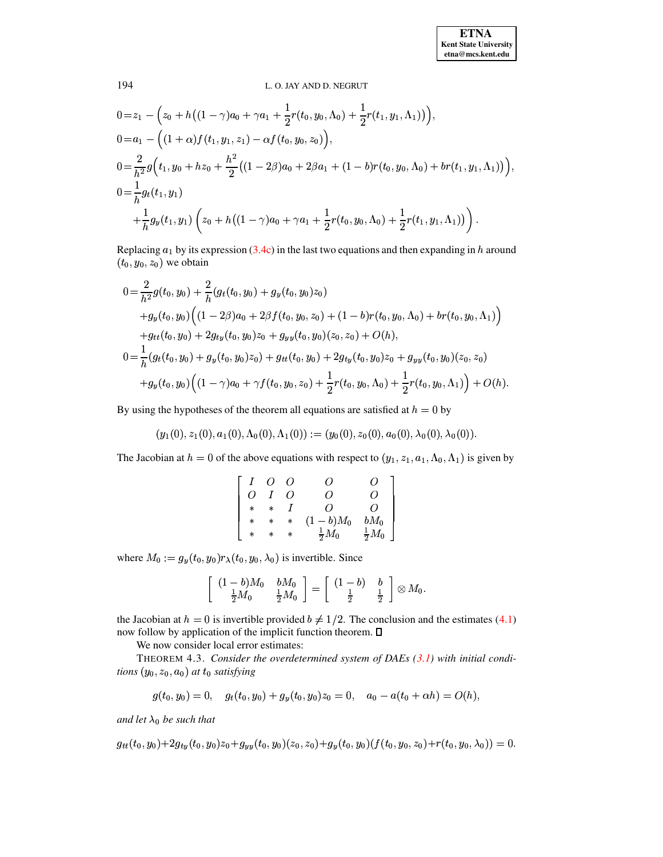$$
0 = z_1 - \left(z_0 + h\left((1-\gamma)a_0 + \gamma a_1 + \frac{1}{2}r(t_0, y_0, \Lambda_0) + \frac{1}{2}r(t_1, y_1, \Lambda_1)\right)\right),
$$
  
\n
$$
0 = a_1 - \left((1+\alpha)f(t_1, y_1, z_1) - \alpha f(t_0, y_0, z_0)\right),
$$
  
\n
$$
0 = \frac{2}{h^2}g\left(t_1, y_0 + h z_0 + \frac{h^2}{2}\left((1-2\beta)a_0 + 2\beta a_1 + (1-b)r(t_0, y_0, \Lambda_0) + br(t_1, y_1, \Lambda_1)\right)\right),
$$
  
\n
$$
0 = \frac{1}{h}g_t(t_1, y_1)
$$
  
\n
$$
+ \frac{1}{h}g_y(t_1, y_1)\left(z_0 + h\left((1-\gamma)a_0 + \gamma a_1 + \frac{1}{2}r(t_0, y_0, \Lambda_0) + \frac{1}{2}r(t_1, y_1, \Lambda_1)\right)\right).
$$

Replacing  $a_1$  by its expression (3.4c) in the last two equations and then expanding in h around  $(t_0, y_0, z_0)$  we obtain

$$
0 = \frac{2}{h^2} g(t_0, y_0) + \frac{2}{h} (g_t(t_0, y_0) + g_y(t_0, y_0) z_0)
$$
  
+  $g_y(t_0, y_0) ((1 - 2\beta)a_0 + 2\beta f(t_0, y_0, z_0) + (1 - b)r(t_0, y_0, \Lambda_0) + br(t_0, y_0, \Lambda_1))$   
+  $g_{tt}(t_0, y_0) + 2g_{ty}(t_0, y_0) z_0 + g_{yy}(t_0, y_0) (z_0, z_0) + O(h),$   

$$
0 = \frac{1}{h} (g_t(t_0, y_0) + g_y(t_0, y_0) z_0) + g_{tt}(t_0, y_0) + 2g_{ty}(t_0, y_0) z_0 + g_{yy}(t_0, y_0) (z_0, z_0)
$$
  
+  $g_y(t_0, y_0) ((1 - \gamma)a_0 + \gamma f(t_0, y_0, z_0) + \frac{1}{2}r(t_0, y_0, \Lambda_0) + \frac{1}{2}r(t_0, y_0, \Lambda_1)) + O(h).$ 

By using the hypotheses of the theorem all equations are satisfied at  $h = 0$  by

$$
(y_1(0), z_1(0), a_1(0), \Lambda_0(0), \Lambda_1(0)) := (y_0(0), z_0(0), a_0(0), \lambda_0(0), \lambda_0(0))
$$

The Jacobian at  $h = 0$  of the above equations with respect to  $(y_1, z_1, a_1, \Lambda_0, \Lambda_1)$  is given by

| $\boldsymbol{I}$ | $\overline{O}$ | $\overline{O}$ | O                | $\Omega$                                                  |
|------------------|----------------|----------------|------------------|-----------------------------------------------------------|
| $\overline{O}$   | $\overline{I}$ | O              | Ω                | Ο                                                         |
| $\ast$           | $\ast$         |                | Ω                | $\overline{O}$                                            |
| $\ast$           | $\ast$         | $\ast$         | $(1-b)M_0$       |                                                           |
| $\ast$           | $\ast$         | $\ast$         | $\frac{1}{2}M_0$ | $\frac{bM_0}{\frac{1}{2}M_0}$ $\Big]$<br>$\frac{1}{2}M_0$ |

where  $M_0 := g_y(t_0, y_0) r_\lambda(t_0, y_0, \lambda_0)$  is invertible. Since

$$
\left[\begin{array}{cc} (1-b)M_0 & bM_0 \ \frac{1}{2}M_0 & \frac{1}{2}M_0 \end{array}\right] = \left[\begin{array}{cc} (1-b) & b \ \frac{1}{2} & \frac{1}{2} \end{array}\right] \otimes M_0.
$$

the Jacobian at  $h = 0$  is invertible provided  $b \neq 1/2$ . The conclusion and the estimates (4.1) now follow by application of the implicit function theorem.  $\Box$ 

We now consider local error estimates:

THEOREM 4.3. Consider the overdetermined system of DAEs  $(3.1)$  with initial conditions  $(y_0, z_0, a_0)$  at  $t_0$  satisfying

$$
g(t_0, y_0) = 0, \quad g_t(t_0, y_0) + g_y(t_0, y_0)z_0 = 0, \quad a_0 - a(t_0 + \alpha h) = O(h),
$$

and let  $\lambda_0$  be such that

$$
g_{tt}(t_0,y_0)+2g_{ty}(t_0,y_0)z_0+g_{yy}(t_0,y_0)(z_0,z_0)+g_{y}(t_0,y_0)(f(t_0,y_0,z_0)+r(t_0,y_0,\lambda_0))=0
$$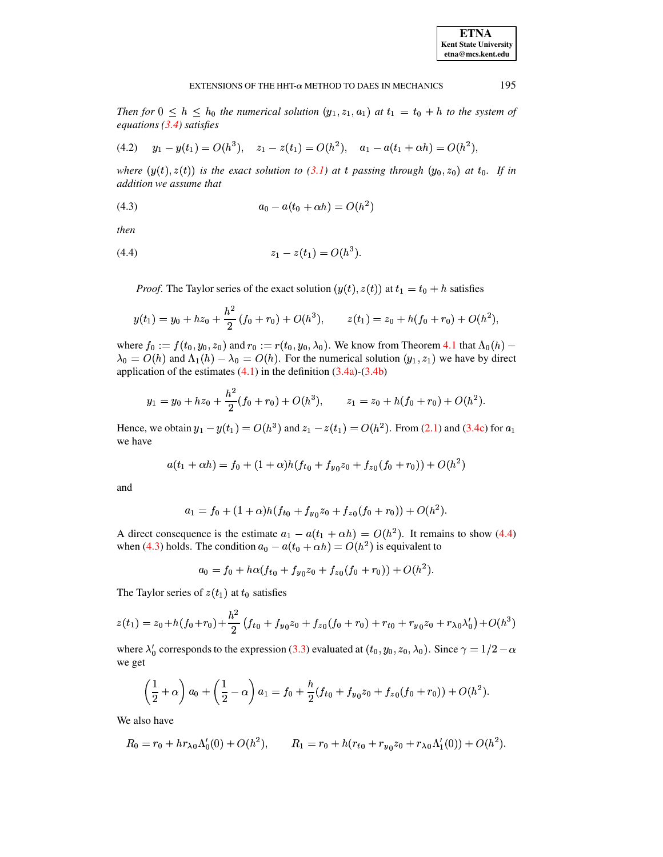195

Then for  $0 \leq h \leq h_0$  the numerical solution  $(y_1, z_1, a_1)$  at  $t_1 = t_0 + h$  to the system of equations  $(3.4)$  satisfies

<span id="page-5-2"></span>
$$
(4.2) \t y_1 - y(t_1) = O(h^3), \t z_1 - z(t_1) = O(h^2), \t a_1 - a(t_1 + \alpha h) = O(h^2),
$$

where  $(y(t), z(t))$  is the exact solution to (3.1) at t passing through  $(y_0, z_0)$  at  $t_0$ . If in addition we assume that

<span id="page-5-1"></span>(4.3) 
$$
a_0 - a(t_0 + \alpha h) = O(h^2)
$$

then

$$
(4.4) \t\t\t z_1 - z(t_1) = O(h^3).
$$

<span id="page-5-0"></span>*Proof.* The Taylor series of the exact solution  $(y(t), z(t))$  at  $t_1 = t_0 + h$  satisfies

$$
y(t_1) = y_0 + h z_0 + \frac{h^2}{2} (f_0 + r_0) + O(h^3), \qquad z(t_1) = z_0 + h(f_0 + r_0) + O(h^2),
$$

where  $f_0 := f(t_0, y_0, z_0)$  and  $r_0 := r(t_0, y_0, \lambda_0)$ . We know from Theorem 4.1 that  $\Lambda_0(h)$  –  $\lambda_0 = O(h)$  and  $\Lambda_1(h) - \lambda_0 = O(h)$ . For the numerical solution  $(y_1, z_1)$  we have by direct application of the estimates  $(4.1)$  in the definition  $(3.4a)-(3.4b)$ 

$$
y_1 = y_0 + h z_0 + \frac{h^2}{2}(f_0 + r_0) + O(h^3),
$$
  $z_1 = z_0 + h(f_0 + r_0) + O(h^2).$ 

Hence, we obtain  $y_1 - y(t_1) = O(h^3)$  and  $z_1 - z(t_1) = O(h^2)$ . From (2.1) and (3.4c) for  $a_1$ we have

$$
a(t_1 + \alpha h) = f_0 + (1 + \alpha)h(f_{t0} + f_{y_0}z_0 + f_{z_0}(f_0 + r_0)) + O(h^2)
$$

and

$$
a_1 = f_0 + (1+\alpha)h(f_{t0} + f_{y_0}z_0 + f_{z_0}(f_0 + r_0)) + O(h^2).
$$

A direct consequence is the estimate  $a_1 - a(t_1 + \alpha h) = O(h^2)$ . It remains to show (4.4) when (4.3) holds. The condition  $a_0 - a(t_0 + \alpha h) = O(h^2)$  is equivalent to

$$
a_0 = f_0 + h\alpha (f_{t0} + f_{y_0}z_0 + f_{z0}(f_0 + r_0)) + O(h^2).
$$

The Taylor series of  $z(t_1)$  at  $t_0$  satisfies

$$
z(t_1) = z_0 + h(f_0 + r_0) + \frac{h^2}{2} (f_{t0} + f_{y_0}z_0 + f_{z_0}(f_0 + r_0) + r_{t0} + r_{y_0}z_0 + r_{\lambda_0}\lambda'_0) + O(h^3)
$$

where  $\lambda'_0$  corresponds to the expression (3.3) evaluated at  $(t_0, y_0, z_0, \lambda_0)$ . Since  $\gamma = 1/2 - \alpha$ we get

$$
\left(\frac{1}{2}+\alpha\right)a_0+\left(\frac{1}{2}-\alpha\right)a_1=f_0+\frac{h}{2}(f_{t0}+f_{y0}z_0+f_{z0}(f_0+r_0))+O(h^2).
$$

We also have

$$
R_0 = r_0 + hr_{\lambda 0} \Lambda_0'(0) + O(h^2), \qquad R_1 = r_0 + h(r_{t0} + r_{y0}z_0 + r_{\lambda 0} \Lambda_1'(0)) + O(h^2).
$$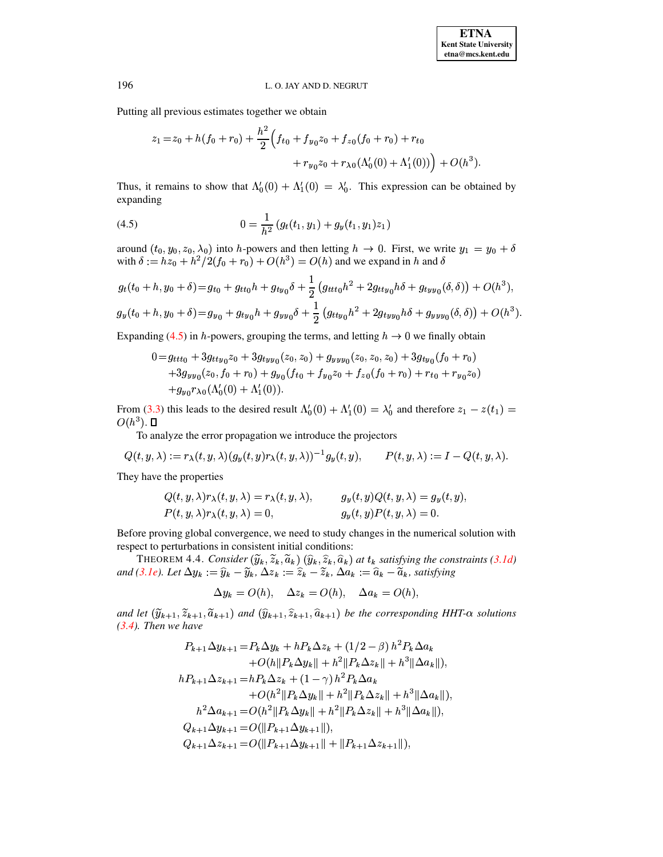Putting all previous estimates together we obtain

$$
z_1 = z_0 + h(f_0 + r_0) + \frac{h^2}{2} \Big( f_{t0} + f_{y_0} z_0 + f_{z_0} (f_0 + r_0) + r_{t0} + r_{y_0} z_0 + r_{\lambda 0} (\Lambda_0'(0) + \Lambda_1'(0)) \Big) + O(h^3).
$$

Thus, it remains to show that  $\Lambda'_0(0) + \Lambda'_1(0) = \lambda'_0$ . This expression can be obtained by expanding

<span id="page-6-0"></span>(4.5) 
$$
0 = \frac{1}{h^2} (g_t(t_1, y_1) + g_y(t_1, y_1) z_1)
$$

around  $(t_0, y_0, z_0, \lambda_0)$  into h-powers and then letting  $h \to 0$ . First, we write  $y_1 = y_0 + \delta$ with  $\delta := h z_0 + h^2/2(f_0 + r_0) + O(h^3) = O(h)$  and we expand in h and  $\delta$ 

$$
g_t(t_0 + h, y_0 + \delta) = g_{t_0} + g_{tt_0}h + g_{ty_0}\delta + \frac{1}{2}(g_{ttt_0}h^2 + 2g_{tty_0}h\delta + g_{tyy_0}(\delta, \delta)) + O(h^3),
$$
  

$$
g_y(t_0 + h, y_0 + \delta) = g_{y_0} + g_{ty_0}h + g_{yy_0}\delta + \frac{1}{2}(g_{tty_0}h^2 + 2g_{tyy_0}h\delta + g_{yyy_0}(\delta, \delta)) + O(h^3).
$$

Expanding (4.5) in h-powers, grouping the terms, and letting  $h \to 0$  we finally obtain

$$
0 = g_{ttt0} + 3g_{tty0}z_0 + 3g_{tyy0}(z_0, z_0) + g_{yyy0}(z_0, z_0, z_0) + 3g_{ty0}(f_0 + r_0)
$$
  
+
$$
3g_{yy0}(z_0, f_0 + r_0) + g_{y0}(f_{t0} + f_{y0}z_0 + f_{z0}(f_0 + r_0) + r_{t0} + r_{y0}z_0)
$$
  
+
$$
g_{y0}r_{\lambda0}(\Lambda_0^{\prime}(0) + \Lambda_1^{\prime}(0)).
$$

From (3.3) this leads to the desired result  $\Lambda'_0(0) + \Lambda'_1(0) = \lambda'_0$  and therefore  $z_1 - z(t_1) =$  $O(h^3)$ .  $\square$ 

To analyze the error propagation we introduce the projectors

$$
Q(t, y, \lambda) := r_{\lambda}(t, y, \lambda) (g_y(t, y) r_{\lambda}(t, y, \lambda))^{-1} g_y(t, y), \qquad P(t, y, \lambda) := I - Q(t, y, \lambda).
$$

They have the properties

$$
Q(t, y, \lambda) r_{\lambda}(t, y, \lambda) = r_{\lambda}(t, y, \lambda), \qquad g_y(t, y) Q(t, y, \lambda) = g_y(t, y),
$$
  
\n
$$
P(t, y, \lambda) r_{\lambda}(t, y, \lambda) = 0, \qquad g_y(t, y) P(t, y, \lambda) = 0.
$$

Before proving global convergence, we need to study changes in the numerical solution with respect to perturbations in consistent initial conditions:

THEOREM 4.4. Consider  $(\widetilde{y}_k, \widetilde{z}_k, \widetilde{a}_k)$   $(\widehat{y}_k, \widehat{z}_k, \widehat{a}_k)$  at  $t_k$  satisfying the constraints (3.1d) and (3.1e). Let  $\Delta y_k := \hat{y}_k - \tilde{y}_k$ ,  $\Delta z_k := \hat{z}_k - \tilde{z}_k$ ,  $\Delta a_k := \hat{a}_k - \tilde{a}_k$ , satisfying

<span id="page-6-1"></span>
$$
\Delta y_k = O(h), \quad \Delta z_k = O(h), \quad \Delta a_k = O(h),
$$

and let  $(\tilde{y}_{k+1}, \tilde{z}_{k+1}, \tilde{a}_{k+1})$  and  $(\hat{y}_{k+1}, \hat{z}_{k+1}, \hat{a}_{k+1})$  be the corresponding HHT- $\alpha$  solutions  $(3.4)$ . Then we have

$$
P_{k+1}\Delta y_{k+1} = P_k \Delta y_k + h P_k \Delta z_k + (1/2 - \beta) h^2 P_k \Delta a_k
$$
  
+  $O(h||P_k \Delta y_k|| + h^2||P_k \Delta z_k|| + h^3||\Delta a_k||),$   
 $h P_{k+1} \Delta z_{k+1} = h P_k \Delta z_k + (1 - \gamma) h^2 P_k \Delta a_k$   
+  $O(h^2||P_k \Delta y_k|| + h^2||P_k \Delta z_k|| + h^3||\Delta a_k||),$   
 $h^2 \Delta a_{k+1} = O(h^2||P_k \Delta y_k|| + h^2||P_k \Delta z_k|| + h^3||\Delta a_k||),$   
 $Q_{k+1} \Delta y_{k+1} = O(||P_{k+1} \Delta y_{k+1}||),$   
 $Q_{k+1} \Delta z_{k+1} = O(||P_{k+1} \Delta y_{k+1}|| + ||P_{k+1} \Delta z_{k+1}||),$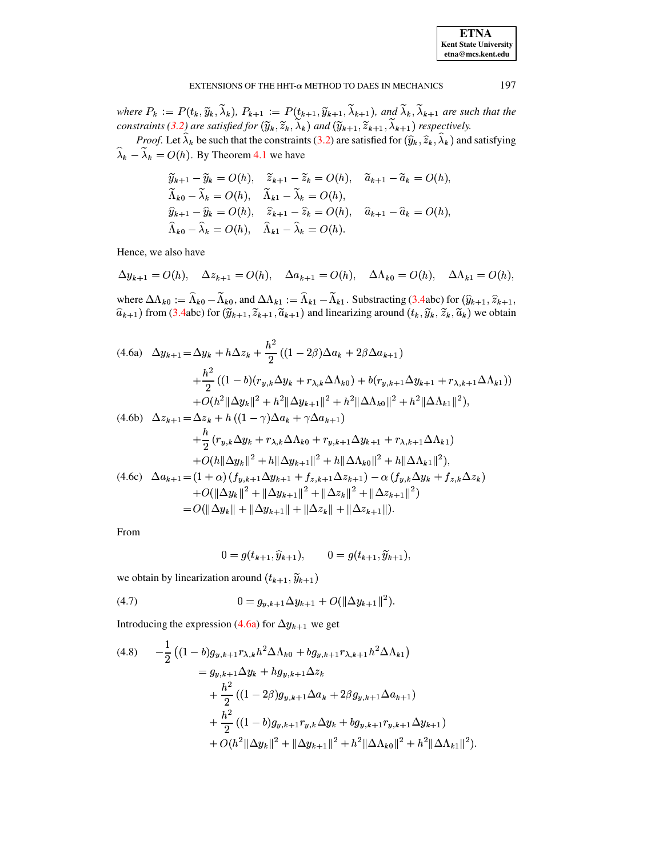| <b>ETNA</b>                  |
|------------------------------|
| <b>Kent State University</b> |
| etna@mcs.kent.edu            |

where  $P_k := P(t_k, \widetilde{y}_k, \lambda_k)$ ,  $P_{k+1} := P(t_{k+1}, \widetilde{y}_{k+1}, \lambda_{k+1})$ , and  $\lambda_k, \lambda_{k+1}$  are such that the *constraints* [\(3.2\)](#page-2-4) are satisfied for  $(\widetilde{y}_k, \widetilde{z}_k, \lambda_k)$  and  $(\widetilde{y}_{k+1}, \widetilde{z}_{k+1}, \lambda_{k+1})$  respectively.

*Proof.* Let  $\lambda_k$  be such that the constraints [\(3.2\)](#page-2-4) are satisfied for  $(\hat{y}_k, \hat{z}_k, \lambda_k)$  and satisfying  $\lambda_k - \lambda_k = O(h)$ . By Theorem [4.1](#page-3-3) we have

$$
\widetilde{y}_{k+1} - \widetilde{y}_k = O(h), \quad \widetilde{z}_{k+1} - \widetilde{z}_k = O(h), \quad \widetilde{a}_{k+1} - \widetilde{a}_k = O(h), \n\widetilde{\Lambda}_{k0} - \widetilde{\lambda}_k = O(h), \quad \widetilde{\Lambda}_{k1} - \widetilde{\lambda}_k = O(h), \n\widehat{y}_{k+1} - \widehat{y}_k = O(h), \quad \widehat{z}_{k+1} - \widehat{z}_k = O(h), \quad \widehat{a}_{k+1} - \widehat{a}_k = O(h), \n\widehat{\Lambda}_{k0} - \widehat{\lambda}_k = O(h), \quad \widehat{\Lambda}_{k1} - \widehat{\lambda}_k = O(h).
$$

Hence, we also have

$$
\Delta y_{k+1} = O(h), \quad \Delta z_{k+1} = O(h), \quad \Delta a_{k+1} = O(h), \quad \Delta \Lambda_{k0} = O(h), \quad \Delta \Lambda_{k1} = O(h),
$$

where  $\Delta\Lambda_{k0} := \Lambda_{k0} - \Lambda_{k0}$ , and  $\Delta\Lambda_{k1} := \Lambda_{k1} - \Lambda_{k1}$ . Substracting [\(3.4a](#page-2-5)bc) for  $(\hat{y}_{k+1}, \hat{z}_{k+1}, \hat{z}_{k+1})$  $\hat{a}_{k+1}$ ) from [\(3.4a](#page-2-5)bc) for  $(\widetilde{y}_{k+1}, \widetilde{z}_{k+1}, \widetilde{a}_{k+1})$  and linearizing around  $(t_k, \widetilde{y}_k, \widetilde{z}_k, \widetilde{a}_k)$  we obtain

<span id="page-7-0"></span>
$$
(4.6a) \quad \Delta y_{k+1} = \Delta y_k + h \Delta z_k + \frac{h^2}{2} ((1 - 2\beta) \Delta a_k + 2\beta \Delta a_{k+1})
$$
  
\n
$$
+ \frac{h^2}{2} ((1 - b)(r_{y,k} \Delta y_k + r_{\lambda,k} \Delta \Lambda_{k0}) + b(r_{y,k+1} \Delta y_{k+1} + r_{\lambda,k+1} \Delta \Lambda_{k1}))
$$
  
\n
$$
+ O(h^2 \|\Delta y_k\|^2 + h^2 \|\Delta y_{k+1}\|^2 + h^2 \|\Delta \Lambda_{k0}\|^2 + h^2 \|\Delta \Lambda_{k1}\|^2),
$$
  
\n
$$
(4.6b) \quad \Delta z_{k+1} = \Delta z_k + h ((1 - \gamma) \Delta a_k + \gamma \Delta a_{k+1})
$$
  
\n
$$
+ \frac{h}{2} (r_{y,k} \Delta y_k + r_{\lambda,k} \Delta \Lambda_{k0} + r_{y,k+1} \Delta y_{k+1} + r_{\lambda,k+1} \Delta \Lambda_{k1})
$$
  
\n
$$
+ O(h \|\Delta y_k\|^2 + h \|\Delta y_{k+1}\|^2 + h \|\Delta \Lambda_{k0}\|^2 + h \|\Delta \Lambda_{k1}\|^2),
$$
  
\n
$$
(4.6c) \quad \Delta a_{k+1} = (1 + \alpha) (f_{y,k+1} \Delta y_{k+1} + f_{z,k+1} \Delta z_{k+1}) - \alpha (f_{y,k} \Delta y_k + f_{z,k} \Delta z_k)
$$
  
\n
$$
+ O(\|\Delta y_k\|^2 + \|\Delta y_{k+1}\|^2 + \|\Delta z_k\|^2 + \|\Delta z_{k+1}\|^2)
$$
  
\n
$$
= O(\|\Delta y_k\| + \|\Delta y_{k+1}\| + \|\Delta z_k\| + \|\Delta z_{k+1}\|).
$$

From

<span id="page-7-2"></span> $\overline{a}$ 

$$
0 = g(t_{k+1}, \hat{y}_{k+1}), \qquad 0 = g(t_{k+1}, \tilde{y}_{k+1}),
$$

we obtain by linearization around  $(t_{k+1}, \widetilde{y}_{k+1})$ 

(4.7) 
$$
0 = g_{y,k+1} \Delta y_{k+1} + O(||\Delta y_{k+1}||^2).
$$

Introducing the expression [\(4.6a\)](#page-7-0) for  $\Delta y_{k+1}$  we get

<span id="page-7-1"></span>
$$
(4.8) \qquad -\frac{1}{2} \left( (1-b)g_{y,k+1}r_{\lambda,k}h^2 \Delta \Lambda_{k0} + bg_{y,k+1}r_{\lambda,k+1}h^2 \Delta \Lambda_{k1} \right)
$$
\n
$$
= g_{y,k+1} \Delta y_k + hg_{y,k+1} \Delta z_k
$$
\n
$$
+ \frac{h^2}{2} \left( (1-2\beta)g_{y,k+1} \Delta a_k + 2\beta g_{y,k+1} \Delta a_{k+1} \right)
$$
\n
$$
+ \frac{h^2}{2} \left( (1-b)g_{y,k+1}r_{y,k} \Delta y_k + bg_{y,k+1}r_{y,k+1} \Delta y_{k+1} \right)
$$
\n
$$
+ O(h^2 \|\Delta y_k\|^2 + \|\Delta y_{k+1}\|^2 + h^2 \|\Delta \Lambda_{k0}\|^2 + h^2 \|\Delta \Lambda_{k1}\|^2).
$$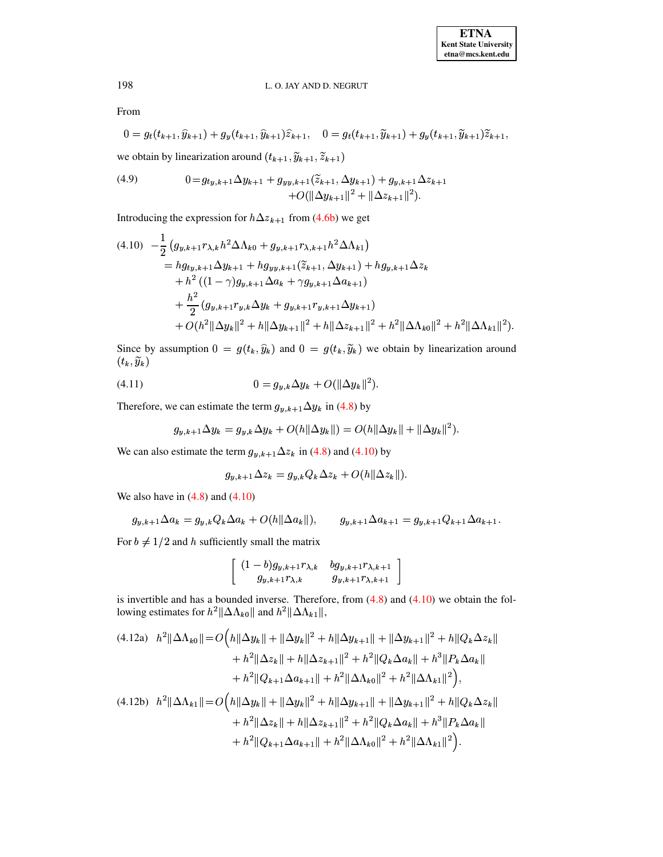From

$$
0 = g_t(t_{k+1}, \widehat{y}_{k+1}) + g_y(t_{k+1}, \widehat{y}_{k+1})\widehat{z}_{k+1}, \quad 0 = g_t(t_{k+1}, \widetilde{y}_{k+1}) + g_y(t_{k+1}, \widetilde{y}_{k+1})\widetilde{z}_{k+1},
$$

we obtain by linearization around  $(t_{k+1}, \widetilde{y}_{k+1}, \widetilde{z}_{k+1})$ 

<span id="page-8-3"></span>(4.9) 
$$
0 = g_{ty,k+1} \Delta y_{k+1} + g_{yy,k+1}(\tilde{z}_{k+1}, \Delta y_{k+1}) + g_{y,k+1} \Delta z_{k+1} + O(||\Delta y_{k+1}||^2 + ||\Delta z_{k+1}||^2).
$$

Introducing the expression for  $h\Delta z_{k+1}$  from [\(4.6b\)](#page-7-0) we get

<span id="page-8-0"></span>
$$
(4.10) \quad -\frac{1}{2} \left( g_{y,k+1} r_{\lambda,k} h^2 \Delta \Lambda_{k0} + g_{y,k+1} r_{\lambda,k+1} h^2 \Delta \Lambda_{k1} \right)
$$
  
\n
$$
= h g_{ty,k+1} \Delta y_{k+1} + h g_{yy,k+1} (\tilde{z}_{k+1}, \Delta y_{k+1}) + h g_{y,k+1} \Delta z_k
$$
  
\n
$$
+ h^2 ((1 - \gamma) g_{y,k+1} \Delta a_k + \gamma g_{y,k+1} \Delta a_{k+1})
$$
  
\n
$$
+ \frac{h^2}{2} (g_{y,k+1} r_{y,k} \Delta y_k + g_{y,k+1} r_{y,k+1} \Delta y_{k+1})
$$
  
\n
$$
+ O(h^2 || \Delta y_k ||^2 + h || \Delta y_{k+1} ||^2 + h || \Delta z_{k+1} ||^2 + h^2 || \Delta \Lambda_{k0} ||^2 + h^2 || \Delta \Lambda_{k1} ||^2).
$$

Since by assumption  $0 = g(t_k, \hat{y}_k)$  and  $0 = g(t_k, \tilde{y}_k)$  we obtain by linearization around  $\langle \cdot w, \sigma w \rangle$ 

(4.11) 
$$
0 = g_{y,k} \Delta y_k + O(||\Delta y_k||^2).
$$

Therefore, we can estimate the term  $g_{y, k+1} \Delta y_k$  in [\(4.8\)](#page-7-1) by

<span id="page-8-2"></span>
$$
g_{y,k+1}\Delta y_k = g_{y,k}\Delta y_k + O(h||\Delta y_k||) = O(h||\Delta y_k|| + ||\Delta y_k||^2).
$$

We can also estimate the term  $g_{y, k+1} \Delta z_k$  in [\(4.8\)](#page-7-1) and [\(4.10\)](#page-8-0) by

$$
g_{y,k+1}\Delta z_k = g_{y,k}Q_k\Delta z_k + O(h||\Delta z_k||).
$$

We also have in  $(4.8)$  and  $(4.10)$ 

$$
g_{y,k+1}\Delta a_k = g_{y,k}Q_k\Delta a_k + O(h\|\Delta a_k\|),
$$
  $g_{y,k+1}\Delta a_{k+1} = g_{y,k+1}Q_{k+1}\Delta a_{k+1}.$ 

For  $b \neq 1/2$  and h sufficiently small the matrix

<span id="page-8-1"></span>
$$
\left[\begin{array}{cc}(1-b)g_{y,k+1}r_{\lambda,k} & bg_{y,k+1}r_{\lambda,k+1}\\ g_{y,k+1}r_{\lambda,k} & g_{y,k+1}r_{\lambda,k+1}\end{array}\right]
$$

is invertible and has a bounded inverse. Therefore, from  $(4.8)$  and  $(4.10)$  we obtain the following estimates for  $h^2 \|\Delta \Lambda_{k0}\|$  and  $h^2 \|\Delta \Lambda_{k1}\|$ ,

$$
(4.12a) \quad h^2 \|\Delta \Lambda_{k0}\| = O\Big(h\|\Delta y_k\| + \|\Delta y_k\|^2 + h\|\Delta y_{k+1}\| + \|\Delta y_{k+1}\|^2 + h\|Q_k \Delta z_k\| + h^2 \|\Delta z_k\| + h\|\Delta z_{k+1}\|^2 + h^2 \|Q_k \Delta a_k\| + h^3 \|P_k \Delta a_k\| + h^2 \|Q_{k+1} \Delta a_{k+1}\| + h^2 \|\Delta \Lambda_{k0}\|^2 + h^2 \|\Delta \Lambda_{k1}\|^2 \Big),
$$
  
(4.12b) 
$$
h^2 \|\Delta \Lambda_{k1}\| = O\Big(h\|\Delta y_k\| + \|\Delta y_k\|^2 + h\|\Delta y_{k+1}\| + \|\Delta y_{k+1}\|^2 + h\|Q_k \Delta z_k\| + h^2 \|\Delta z_k\| + h\|\Delta z_{k+1}\|^2 + h^2 \|Q_k \Delta a_k\| + h^3 \|P_k \Delta a_k\| + h^2 \|Q_{k+1} \Delta a_{k+1}\| + h^2 \|\Delta \Lambda_{k0}\|^2 + h^2 \|\Delta \Lambda_{k1}\|^2 \Big).
$$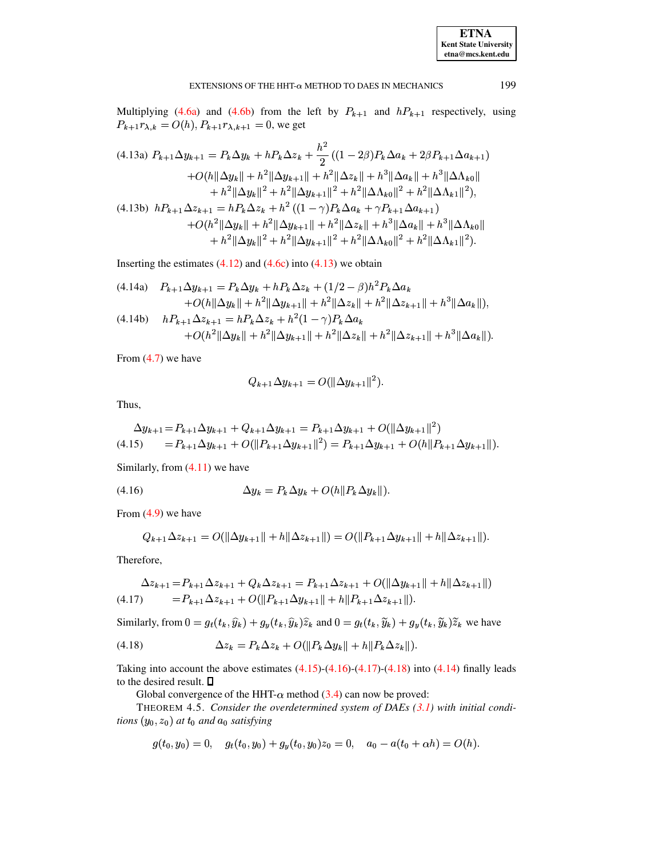# <span id="page-9-1"></span>EXTENSIONS OF THE HHT- $\alpha$  method to daes in mechanics 199

Multiplying [\(4.6a\)](#page-7-0) and [\(4.6b\)](#page-7-0) from the left by  $P_{k+1}$  and  $hP_{k+1}$  respectively, using  $P_{k+1}r_{\lambda,k} = O(h), P_{k+1}r_{\lambda,k+1} = 0$ , we get

$$
(4.13a) P_{k+1} \Delta y_{k+1} = P_k \Delta y_k + h P_k \Delta z_k + \frac{h^2}{2} ((1 - 2\beta) P_k \Delta a_k + 2\beta P_{k+1} \Delta a_{k+1})
$$
  
+  $O(h||\Delta y_k|| + h^2||\Delta y_{k+1}|| + h^2||\Delta z_k|| + h^3||\Delta a_k|| + h^3||\Delta \Lambda_{k0}||$   
+  $h^2||\Delta y_k||^2 + h^2||\Delta y_{k+1}||^2 + h^2||\Delta \Lambda_{k0}||^2 + h^2||\Delta \Lambda_{k1}||^2),$   
(4.13b)  $hP_{k+1} \Delta z_{k+1} = hP_k \Delta z_k + h^2 ((1 - \gamma) P_k \Delta a_k + \gamma P_{k+1} \Delta a_{k+1})$   
+  $O(h^2||\Delta y_k|| + h^2||\Delta y_{k+1}|| + h^2||\Delta z_k|| + h^3||\Delta a_k|| + h^3||\Delta \Lambda_{k0}||$   
+  $h^2||\Delta y_k||^2 + h^2||\Delta y_{k+1}||^2 + h^2||\Delta \Lambda_{k0}||^2 + h^2||\Delta \Lambda_{k1}||^2).$ 

Inserting the estimates  $(4.12)$  and  $(4.6c)$  into  $(4.13)$  we obtain

$$
(4.14a) \quad P_{k+1}\Delta y_{k+1} = P_k\Delta y_k + hP_k\Delta z_k + (1/2 - \beta)h^2 P_k\Delta a_k
$$
  
+  $O(h||\Delta y_k|| + h^2||\Delta y_{k+1}|| + h^2||\Delta z_k|| + h^2||\Delta z_{k+1}|| + h^3||\Delta a_k||),$   
(4.14b)  $hP_{k+1}\Delta z_{k+1} = hP_k\Delta z_k + h^2(1-\gamma)P_k\Delta a_k$   
+  $O(h^2||\Delta y_k|| + h^2||\Delta y_{k+1}|| + h^2||\Delta z_k|| + h^2||\Delta z_{k+1}|| + h^3||\Delta a_k||).$ 

From  $(4.7)$  we have

<span id="page-9-6"></span>
$$
Q_{k+1} \Delta y_{k+1} = O(||\Delta y_{k+1}||^2).
$$

Thus,

<span id="page-9-2"></span>
$$
\Delta y_{k+1} = P_{k+1} \Delta y_{k+1} + Q_{k+1} \Delta y_{k+1} = P_{k+1} \Delta y_{k+1} + O(\|\Delta y_{k+1}\|^2)
$$
  
(4.15) 
$$
= P_{k+1} \Delta y_{k+1} + O(\|P_{k+1} \Delta y_{k+1}\|^2) = P_{k+1} \Delta y_{k+1} + O(h\|P_{k+1} \Delta y_{k+1}\|).
$$

Similarly, from [\(4.11\)](#page-8-2) we have

<span id="page-9-3"></span>
$$
(4.16) \qquad \qquad \Delta y_k = P_k \Delta y_k + O(h||P_k \Delta y_k||).
$$

From  $(4.9)$  we have

$$
Q_{k+1} \Delta z_{k+1} = O(||\Delta y_{k+1}|| + h||\Delta z_{k+1}||) = O(||P_{k+1} \Delta y_{k+1}|| + h||\Delta z_{k+1}||).
$$

Therefore,

<span id="page-9-4"></span>
$$
\Delta z_{k+1} = P_{k+1} \Delta z_{k+1} + Q_k \Delta z_{k+1} = P_{k+1} \Delta z_{k+1} + O(||\Delta y_{k+1}|| + h||\Delta z_{k+1}||)
$$
  
(4.17) 
$$
= P_{k+1} \Delta z_{k+1} + O(||P_{k+1} \Delta y_{k+1}|| + h||P_{k+1} \Delta z_{k+1}||).
$$

Similarly, from  $0 = g_t(t_k, \hat{y}_k) + g_y(t_k, \hat{y}_k)\hat{z}_k$  and  $0 = g_t(t_k, \tilde{y}_k) + g_y(t_k, \tilde{y}_k)\tilde{z}_k$  we have

<span id="page-9-5"></span>
$$
(4.18) \qquad \Delta z_k = P_k \Delta z_k + O(||P_k \Delta y_k|| + h||P_k \Delta z_k||).
$$

Taking into account the above estimates  $(4.15)-(4.16)-(4.17)-(4.18)$  $(4.15)-(4.16)-(4.17)-(4.18)$  $(4.15)-(4.16)-(4.17)-(4.18)$  $(4.15)-(4.16)-(4.17)-(4.18)$  $(4.15)-(4.16)-(4.17)-(4.18)$  $(4.15)-(4.16)-(4.17)-(4.18)$  $(4.15)-(4.16)-(4.17)-(4.18)$  into  $(4.14)$  finally leads to the desired result.

Global convergence of the HHT- $\alpha$  method [\(3.4\)](#page-2-5) can now be proved:

THEOREM 4.5. *Consider the overdetermined system of DAEs [\(3.1\)](#page-2-2) with initial conditions*  $(y_0, z_0)$  *at*  $t_0$  *and*  $a_0$  *satisfying* 

<span id="page-9-0"></span>
$$
g(t_0,y_0)=0,\quad g_t(t_0,y_0)+g_y(t_0,y_0)z_0=0,\quad a_0-a(t_0+\alpha h)=O(h).
$$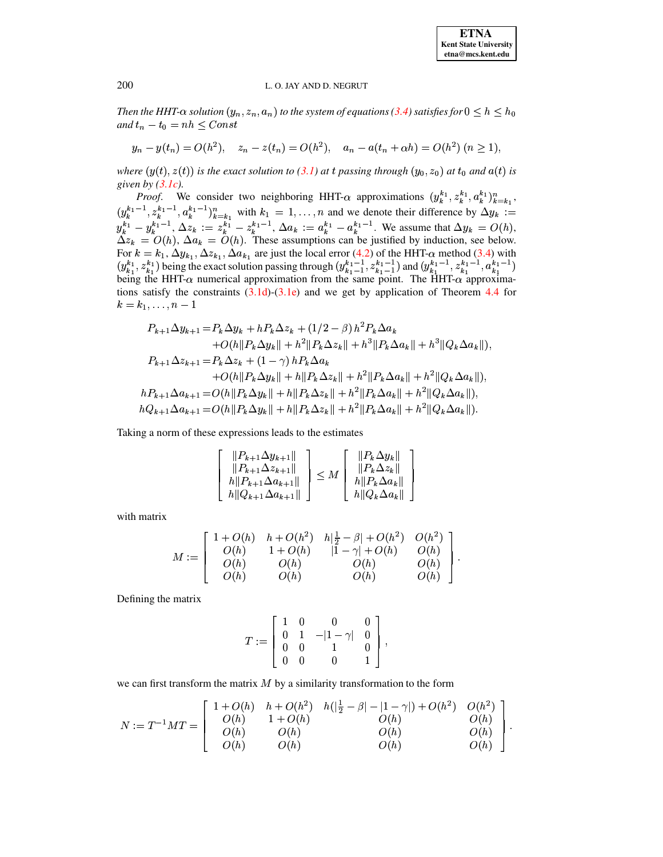Then the HHT- $\alpha$  solution  $(y_n, z_n, a_n)$  to the system of equations (3.4) satisfies for  $0 \leq h \leq h_0$ and  $t_n - t_0 = nh \leq Const$ 

$$
y_n - y(t_n) = O(h^2), \quad z_n - z(t_n) = O(h^2), \quad a_n - a(t_n + \alpha h) = O(h^2) \ (n \ge 1),
$$

where  $(y(t), z(t))$  is the exact solution to (3.1) at t passing through  $(y_0, z_0)$  at  $t_0$  and  $a(t)$  is given by  $(3.1c)$ .

*Proof.* We consider two neighboring HHT- $\alpha$  approximations  $(y_k^{k_1}, z_k^{k_1}, a_k^{k_1})_{k=k_1}^n$ ,  $(y_k^{k_1-1}, z_k^{k_1-1}, a_k^{k_1-1})_{k=k_1}^n$  with  $k_1 = 1, ..., n$  and we denote their difference by  $\Delta y_k :=$ <br>  $y_k^{k_1} - y_k^{k_1-1}, \Delta z_k := z_k^{k_1} - z_k^{k_1-1}, \Delta a_k := a_k^{k_1} - a_k^{k_1-1}$ . We assume that  $\Delta y_k = O(h)$ ,<br>  $\Delta z_k = O(h)$ ,  $\Delta a_k = O(h)$ . These For  $k = k_1$ ,  $\Delta y_{k_1}$ ,  $\Delta z_{k_1}$ ,  $\Delta a_{k_1}$  are just the local error (4.2) of the HHT- $\alpha$  method (3.4) with  $(y_{k_1}^{k_1}, z_{k_1}^{k_1})$  being the exact solution passing through  $(y_{k_1-1}^{k_1-1}, z_{k_1-1}^{k_1-1})$  and  $(y_{k_$ tions satisfy the constraints  $(3.1d)$ - $(3.1e)$  and we get by application of Theorem 4.4 for  $k = k_1, \ldots, n-1$ 

$$
P_{k+1}\Delta y_{k+1} = P_k \Delta y_k + h P_k \Delta z_k + (1/2 - \beta) h^2 P_k \Delta a_k + O(h||P_k \Delta y_k|| + h^2||P_k \Delta z_k|| + h^3||P_k \Delta a_k|| + h^3||Q_k \Delta a_k||),
$$
  

$$
P_{k+1}\Delta z_{k+1} = P_k \Delta z_k + (1 - \gamma) h P_k \Delta a_k + O(h||P_k \Delta y_k|| + h||P_k \Delta z_k|| + h^2||P_k \Delta a_k|| + h^2||Q_k \Delta a_k||),
$$
  

$$
h P_{k+1} \Delta a_{k+1} = O(h||P_k \Delta y_k|| + h||P_k \Delta z_k|| + h^2||P_k \Delta a_k|| + h^2||Q_k \Delta a_k||),
$$
  

$$
h Q_{k+1} \Delta a_{k+1} = O(h||P_k \Delta y_k|| + h||P_k \Delta z_k|| + h^2||P_k \Delta a_k|| + h^2||Q_k \Delta a_k||).
$$

Taking a norm of these expressions leads to the estimates

$$
\begin{bmatrix}\n||P_{k+1}\Delta y_{k+1}|| \\
||P_{k+1}\Delta z_{k+1}|| \\
||P_{k+1}\Delta a_{k+1}|| \\
||Q_{k+1}\Delta a_{k+1}||\n\end{bmatrix} \leq M \begin{bmatrix} ||P_k \Delta y_k|| \\
||P_k \Delta z_k|| \\
||P_k \Delta a_k|| \\
||Q_k \Delta a_k||\n\end{bmatrix}
$$

with matrix

$$
M:=\left[\begin{array}{cccc} 1+O(h) & h+O(h^2) & h|\frac{1}{2}-\beta|+O(h^2) & O(h^2) \\ O(h) & 1+O(h) & |1-\gamma|+O(h) & O(h) \\ O(h) & O(h) & O(h) & O(h) \\ O(h) & O(h) & O(h) & O(h) \end{array}\right].
$$

Defining the matrix

$$
T:=\left[\begin{array}{cccc} 1 & 0 & 0 & 0 \\ 0 & 1 & -|1-\gamma| & 0 \\ 0 & 0 & 1 & 0 \\ 0 & 0 & 0 & 1 \end{array}\right],
$$

we can first transform the matrix  $M$  by a similarity transformation to the form

$$
N:=T^{-1}MT=\left[\begin{array}{cccc}1+O(h)&h+O(h^2)&h(|\frac{1}{2}-\beta|-|1-\gamma|)+O(h^2)&O(h^2)\\O(h)&1+O(h)&O(h)&O(h)&O(h)\\O(h)&O(h)&O(h)&O(h)&O(h)\\O(h)&O(h)&O(h)&O(h)\end{array}\right]
$$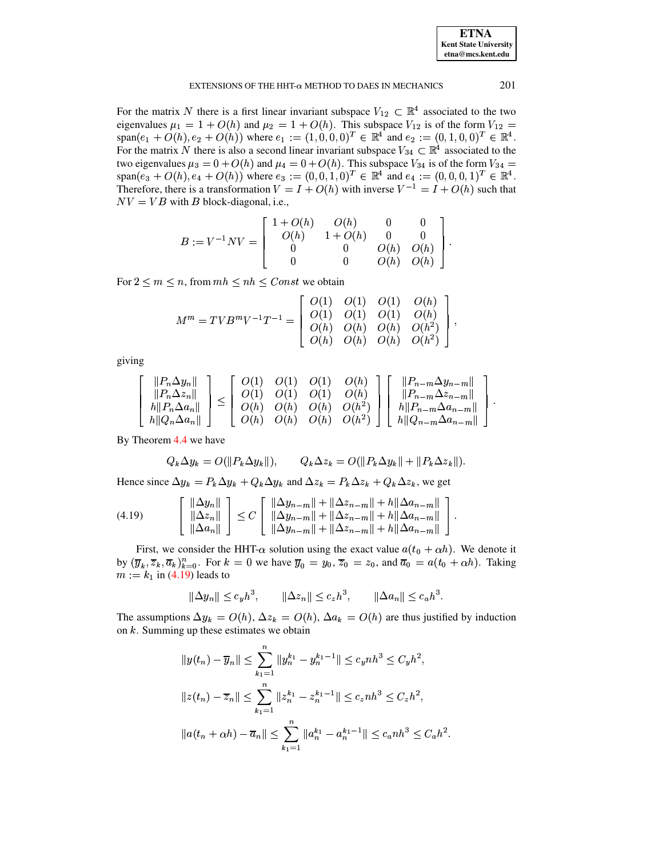For the matrix N there is a first linear invariant subspace  $V_{12} \subset \mathbb{R}^4$  associated to the two eigenvalues  $\mu_1 = 1 + O(h)$  and  $\mu_2 = 1 + O(h)$ . This subspace  $V_{12}$  is of the form  $V_{12}$  $\text{span}(e_1 + O(h), e_2 + O(h))$  where  $e_1 := (1, 0, 0, 0)^T \in \mathbb{R}^4$  and  $e_2 := (0, 1, 0, 0)^T \in \mathbb{R}^4$ . For the matrix N there is also a second linear invariant subspace  $V_{34} \subset \mathbb{R}^4$  associated to the two eigenvalues  $\mu_3 = 0 + O(h)$  and  $\mu_4 = 0 + O(h)$ . This subspace  $V_{34}$  is of the form  $V_{34} =$  $span(e_3 + O(h), e_4 + O(h))$  where  $e_3 := (0,0,1,0)^T \in \mathbb{R}^4$  and  $e_4 := (0,0,0,1)^T \in \mathbb{R}^4$ . Therefore, there is a transformation  $V = I + O(h)$  with inverse  $V^{-1} = I + O(h)$  such that  $NV = VB$  with B block-diagonal, i.e.,

$$
B := V^{-1}NV = \begin{bmatrix} 1+O(h) & O(h) & 0 & 0 \\ O(h) & 1+O(h) & 0 & 0 \\ 0 & 0 & O(h) & O(h) \\ 0 & 0 & O(h) & O(h) \end{bmatrix}.
$$

For  $2 \le m \le n$ , from  $mh \le nh \le Const$  we obtain

$$
M^m = TVB^mV^{-1}T^{-1} = \left[\begin{array}{cccc} O(1) & O(1) & O(1) & O(h) \\ O(1) & O(1) & O(1) & O(h) \\ O(h) & O(h) & O(h) & O(h^2) \\ O(h) & O(h) & O(h) & O(h^2) \end{array}\right],
$$

giving

$$
\begin{bmatrix}\n||P_n \Delta y_n|| \\
||P_n \Delta z_n|| \\
||P_n \Delta a_n|| \\
||Q_n \Delta a_n||\n\end{bmatrix} \leq \begin{bmatrix}\nO(1) & O(1) & O(1) & O(h) \\
O(1) & O(1) & O(h) & O(h) \\
O(h) & O(h) & O(h) & O(h^2) \\
O(h) & O(h) & O(h) & O(h^2)\n\end{bmatrix} \begin{bmatrix}\n||P_{n-m} \Delta y_{n-m}|| \\
||P_{n-m} \Delta z_{n-m}|| \\
||P_{n-m} \Delta a_{n-m}|| \\
||P_{n-m} \Delta a_{n-m}||\n\end{bmatrix}
$$

By Theorem 4.4 we have

$$
Q_k \Delta y_k = O(||P_k \Delta y_k||), \qquad Q_k \Delta z_k = O(||P_k \Delta y_k|| + ||P_k \Delta z_k||).
$$

Hence since  $\Delta y_k = P_k \Delta y_k + Q_k \Delta y_k$  and  $\Delta z_k = P_k \Delta z_k + Q_k \Delta z_k$ , we get

<span id="page-11-0"></span>
$$
(4.19) \qquad \begin{bmatrix} \|\Delta y_n\| \\ \|\Delta z_n\| \\ \|\Delta a_n\| \end{bmatrix} \le C \begin{bmatrix} \|\Delta y_{n-m}\| + \|\Delta z_{n-m}\| + h\|\Delta a_{n-m}\| \\ \|\Delta y_{n-m}\| + \|\Delta z_{n-m}\| + h\|\Delta a_{n-m}\| \\ \|\Delta y_{n-m}\| + \|\Delta z_{n-m}\| + h\|\Delta a_{n-m}\| \end{bmatrix}
$$

First, we consider the HHT- $\alpha$  solution using the exact value  $a(t_0 + \alpha h)$ . We denote it by  $(\overline{y}_k, \overline{z}_k, \overline{a}_k)_{k=0}^n$ . For  $k = 0$  we have  $\overline{y}_0 = y_0, \overline{z}_0 = z_0$ , and  $\overline{a}_0 = a(t_0 + \alpha h)$ . Taking  $m := k_1$  in (4.19) leads to

$$
\|\Delta y_n\| \le c_y h^3, \qquad \|\Delta z_n\| \le c_z h^3, \qquad \|\Delta a_n\| \le c_a h^3.
$$

The assumptions  $\Delta y_k = O(h)$ ,  $\Delta z_k = O(h)$ ,  $\Delta a_k = O(h)$  are thus justified by induction on  $k$ . Summing up these estimates we obtain

$$
||y(t_n) - \overline{y}_n|| \le \sum_{k_1=1}^n ||y_n^{k_1} - y_n^{k_1-1}|| \le c_ynh^3 \le C_yh^2,
$$
  

$$
||z(t_n) - \overline{z}_n|| \le \sum_{k_1=1}^n ||z_n^{k_1} - z_n^{k_1-1}|| \le c_znh^3 \le C_zh^2,
$$
  

$$
||a(t_n + \alpha h) - \overline{a}_n|| \le \sum_{k_1=1}^n ||a_n^{k_1} - a_n^{k_1-1}|| \le c_anh^3 \le C_ah^2.
$$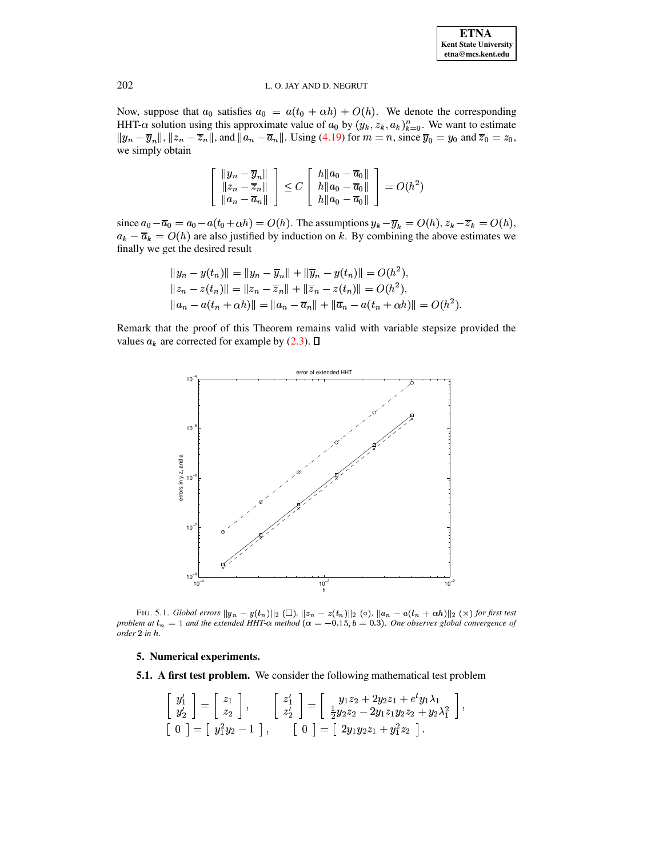Now, suppose that  $a_0$  satisfies  $a_0 = a(t_0 + \alpha h) + O(h)$ . We denote the corresponding HHT- $\alpha$  solution using this approximate value of  $a_0$  by  $(y_k, z_k, a_k)_{k=0}^n$ . We want to estimate  $||y_n - \overline{y}_n||, ||z_n - \overline{z}_n||$ , and  $||a_n - \overline{a}_n||$ . Using (4.19) for  $m = n$ , since  $\overline{y}_0 = y_0$  and  $\overline{z}_0 = z_0$ , we simply obtain

$$
\begin{bmatrix}\n||y_n - \overline{y}_n|| \\
||z_n - \overline{z}_n|| \\
||a_n - \overline{a}_n||\n\end{bmatrix} \le C \begin{bmatrix}\nh ||a_0 - \overline{a}_0|| \\
|h ||a_0 - \overline{a}_0|| \\
|h ||a_0 - \overline{a}_0||\n\end{bmatrix} = O(h^2)
$$

since  $a_0 - \overline{a}_0 = a_0 - a(t_0 + \alpha h) = O(h)$ . The assumptions  $y_k - \overline{y}_k = O(h)$ ,  $z_k - \overline{z}_k = O(h)$ ,  $a_k - \overline{a}_k = O(h)$  are also justified by induction on k. By combining the above estimates we finally we get the desired result

$$
||y_n - y(t_n)|| = ||y_n - \overline{y}_n|| + ||\overline{y}_n - y(t_n)|| = O(h^2),
$$
  
\n
$$
||z_n - z(t_n)|| = ||z_n - \overline{z}_n|| + ||\overline{z}_n - z(t_n)|| = O(h^2),
$$
  
\n
$$
||a_n - a(t_n + \alpha h)|| = ||a_n - \overline{a}_n|| + ||\overline{a}_n - a(t_n + \alpha h)|| = O(h^2).
$$

<span id="page-12-0"></span>Remark that the proof of this Theorem remains valid with variable stepsize provided the values  $a_k$  are corrected for example by (2.3).  $\Box$ 



<span id="page-12-1"></span>FIG. 5.1. Global errors  $||y_n - y(t_n)||_2$  ( $\square$ ),  $||z_n - z(t_n)||_2$  ( $\circ$ ),  $||a_n - a(t_n + \alpha h)||_2$  ( $\times$ ) for first test problem at  $t_n = 1$  and the extended HHT- $\alpha$  method  $(\alpha = -0.15, b = 0.3)$ . One observes global convergence of order 2 in h.

# 5. Numerical experiments.

**5.1.** A first test problem. We consider the following mathematical test problem

$$
\begin{bmatrix} y_1' \\ y_2' \end{bmatrix} = \begin{bmatrix} z_1 \\ z_2 \end{bmatrix}, \qquad \begin{bmatrix} z_1' \\ z_2' \end{bmatrix} = \begin{bmatrix} y_1z_2 + 2y_2z_1 + e^t y_1 \lambda_1 \\ \frac{1}{2}y_2z_2 - 2y_1z_1y_2z_2 + y_2\lambda_1^2 \end{bmatrix},
$$
  
\n
$$
\begin{bmatrix} 0 \end{bmatrix} = \begin{bmatrix} y_1^2y_2 - 1 \end{bmatrix}, \qquad \begin{bmatrix} 0 \end{bmatrix} = \begin{bmatrix} 2y_1y_2z_1 + y_1^2z_2 \end{bmatrix}.
$$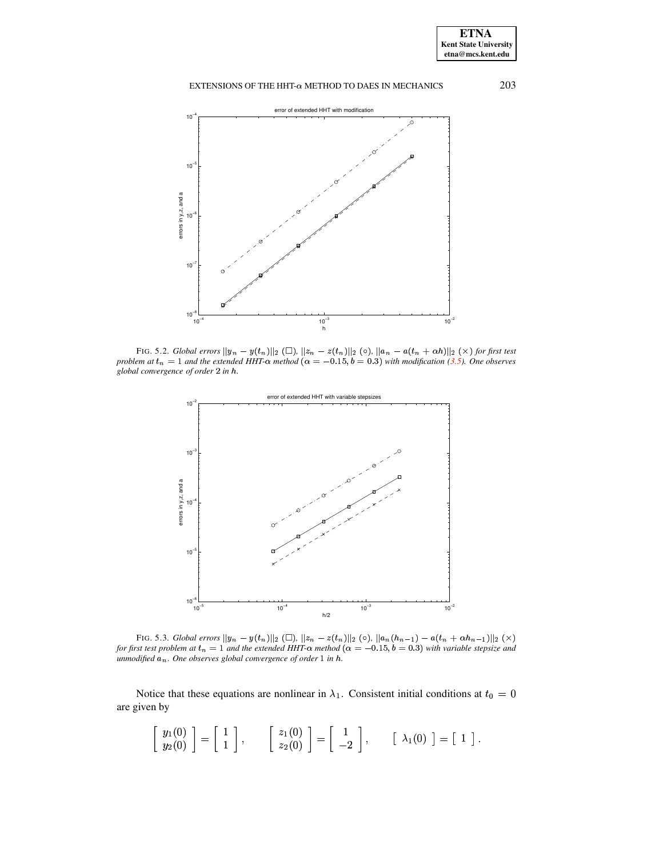

<span id="page-13-0"></span>FIG. 5.2. Global errors  $||y_n - y(t_n)||_2$  ( $\Box$ ),  $||z_n - z(t_n)||_2$  ( $\circ$ ),  $||a_n - a(t_n + \alpha h)||_2$  ( $\times$ ) for first test problem at  $t_n = 1$  and the extended HHT- $\alpha$  method ( $\alpha = -0.15$ ,  $b = 0.3$ ) with modification (3.5). One observes global convergence of order 2 in h.



<span id="page-13-1"></span>FIG. 5.3. Global errors  $||y_n - y(t_n)||_2 ( \Box)$ ,  $||z_n - z(t_n)||_2 ( \circ)$ ,  $||a_n(h_{n-1}) - a(t_n + \alpha h_{n-1})||_2 ( \times)$ for first test problem at  $t_n = 1$  and the extended HHT- $\alpha$  method  $(\alpha = -0.15, b = 0.3)$  with variable stepsize and unmodified  $a_n$ . One observes global convergence of order  $1$  in  $h$ .

Notice that these equations are nonlinear in  $\lambda_1$ . Consistent initial conditions at  $t_0 = 0$ are given by

$$
\left[\begin{array}{c}y_1(0)\\y_2(0)\end{array}\right]=\left[\begin{array}{c}1\\1\end{array}\right],\qquad \left[\begin{array}{c}z_1(0)\\z_2(0)\end{array}\right]=\left[\begin{array}{c}1\\-2\end{array}\right],\qquad \left[\begin{array}{c}\lambda_1(0)\end{array}\right]=\left[\begin{array}{c}1\end{array}\right].
$$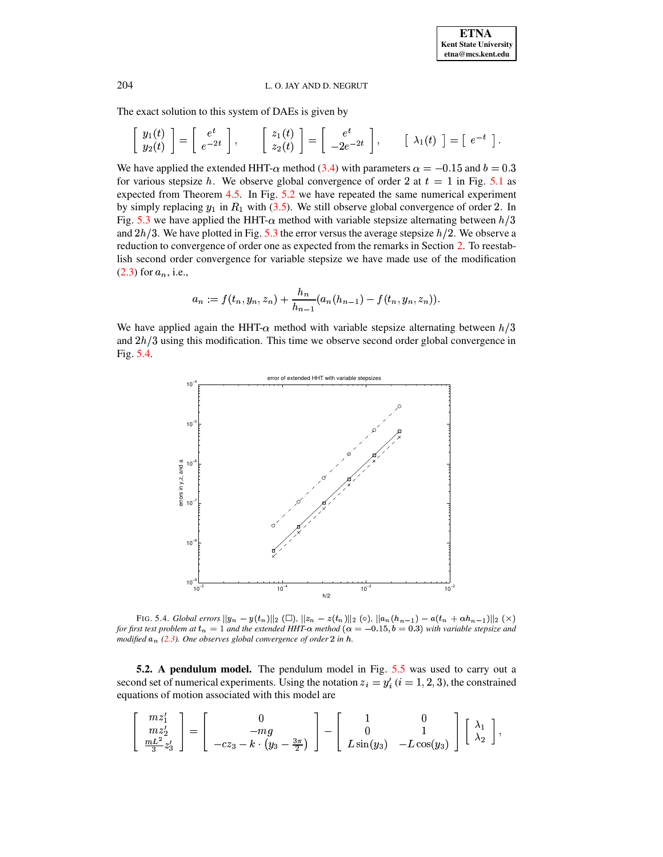The exact solution to this system of DAEs is given by

$$
\left[\begin{array}{c}y_1(t)\\y_2(t)\end{array}\right]=\left[\begin{array}{c}e^t\\e^{-2t}\end{array}\right],\qquad \left[\begin{array}{c}z_1(t)\\z_2(t)\end{array}\right]=\left[\begin{array}{c}e^t\\-2e^{-2t}\end{array}\right],\qquad \left[\begin{array}{c}\lambda_1(t)\end{array}\right]=\left[\begin{array}{c}e^{-t}\end{array}\right].
$$

We have applied the extended HHT- $\alpha$  method (3.4) with parameters  $\alpha = -0.15$  and  $b = 0.3$ for various stepsize h. We observe global convergence of order 2 at  $t = 1$  in Fig. 5.1 as expected from Theorem 4.5. In Fig. 5.2 we have repeated the same numerical experiment by simply replacing  $y_1$  in  $R_1$  with (3.5). We still observe global convergence of order 2. In Fig. 5.3 we have applied the HHT- $\alpha$  method with variable stepsize alternating between  $h/3$ and  $2h/3$ . We have plotted in Fig. 5.3 the error versus the average stepsize  $h/2$ . We observe a reduction to convergence of order one as expected from the remarks in Section 2. To reestablish second order convergence for variable stepsize we have made use of the modification  $(2.3)$  for  $a_n$ , i.e.,

$$
a_n := f(t_n, y_n, z_n) + \frac{h_n}{h_{n-1}} (a_n(h_{n-1}) - f(t_n, y_n, z_n)).
$$

We have applied again the HHT- $\alpha$  method with variable stepsize alternating between  $h/3$ and  $2h/3$  using this modification. This time we observe second order global convergence in Fig.  $5.4$ .



<span id="page-14-0"></span>FIG. 5.4. Global errors  $||y_n - y(t_n)||_2$  ( $\square$ ),  $||z_n - z(t_n)||_2$  ( $\circ$ ),  $||a_n(h_{n-1}) - a(t_n + \alpha h_{n-1})||_2$  ( $\times$ ) for first test problem at  $t_n = 1$  and the extended HHT- $\alpha$  method  $(\alpha = -0.15, b = 0.3)$  with variable stepsize and modified  $a_n$  (2.3). One observes global convergence of order 2 in h.

**5.2.** A pendulum model. The pendulum model in Fig. 5.5 was used to carry out a second set of numerical experiments. Using the notation  $z_i = y'_i$  ( $i = 1, 2, 3$ ), the constrained equations of motion associated with this model are

$$
\left[\begin{array}{c} m z_1' \\ m z_2' \\ \frac{mL^2}{3} z_3' \end{array}\right] = \left[\begin{array}{c} 0 \\ -m g \\ -c z_3 - k \cdot \left(y_3 - \frac{3 \pi}{2}\right) \end{array}\right] - \left[\begin{array}{cc} 1 & 0 \\ 0 & 1 \\ L \sin(y_3) & -L \cos(y_3) \end{array}\right] \left[\begin{array}{c} \lambda_1 \\ \lambda_2 \end{array}\right],
$$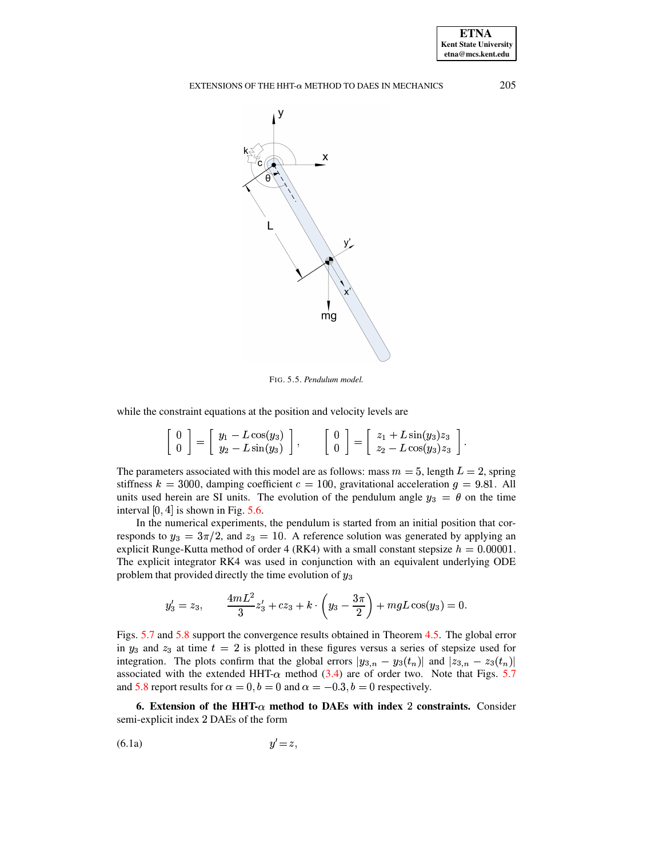

<span id="page-15-1"></span>FIG. 5.5. Pendulum model.

while the constraint equations at the position and velocity levels are

$$
\left[\begin{array}{c}0\\0\end{array}\right]=\left[\begin{array}{c}y_1-L\cos(y_3)\\y_2-L\sin(y_3)\end{array}\right],\qquad \left[\begin{array}{c}0\\0\end{array}\right]=\left[\begin{array}{c}z_1+L\sin(y_3)z_3\\z_2-L\cos(y_3)z_3\end{array}\right].
$$

The parameters associated with this model are as follows: mass  $m = 5$ , length  $L = 2$ , spring stiffness  $k = 3000$ , damping coefficient  $c = 100$ , gravitational acceleration  $g = 9.81$ . All units used herein are SI units. The evolution of the pendulum angle  $y_3 = \theta$  on the time interval  $[0, 4]$  is shown in Fig. 5.6.

In the numerical experiments, the pendulum is started from an initial position that corresponds to  $y_3 = 3\pi/2$ , and  $z_3 = 10$ . A reference solution was generated by applying an explicit Runge-Kutta method of order 4 (RK4) with a small constant stepsize  $h = 0.00001$ . The explicit integrator RK4 was used in conjunction with an equivalent underlying ODE problem that provided directly the time evolution of  $y_3$ 

$$
y_3' = z_3, \qquad \frac{4mL^2}{3}z_3' + cz_3 + k \cdot \left(y_3 - \frac{3\pi}{2}\right) + mgL\cos(y_3) = 0
$$

Figs. 5.7 and 5.8 support the convergence results obtained in Theorem 4.5. The global error in  $y_3$  and  $z_3$  at time  $t = 2$  is plotted in these figures versus a series of stepsize used for integration. The plots confirm that the global errors  $|y_{3,n} - y_3(t_n)|$  and  $|z_{3,n} - z_3(t_n)|$ associated with the extended HHT- $\alpha$  method (3.4) are of order two. Note that Figs. 5.7 and 5.8 report results for  $\alpha = 0$ ,  $b = 0$  and  $\alpha = -0.3$ ,  $b = 0$  respectively.

<span id="page-15-2"></span><span id="page-15-0"></span>6. Extension of the HHT- $\alpha$  method to DAEs with index 2 constraints. Consider semi-explicit index 2 DAEs of the form

<span id="page-15-3"></span>
$$
(6.1a) \t\t y'=z
$$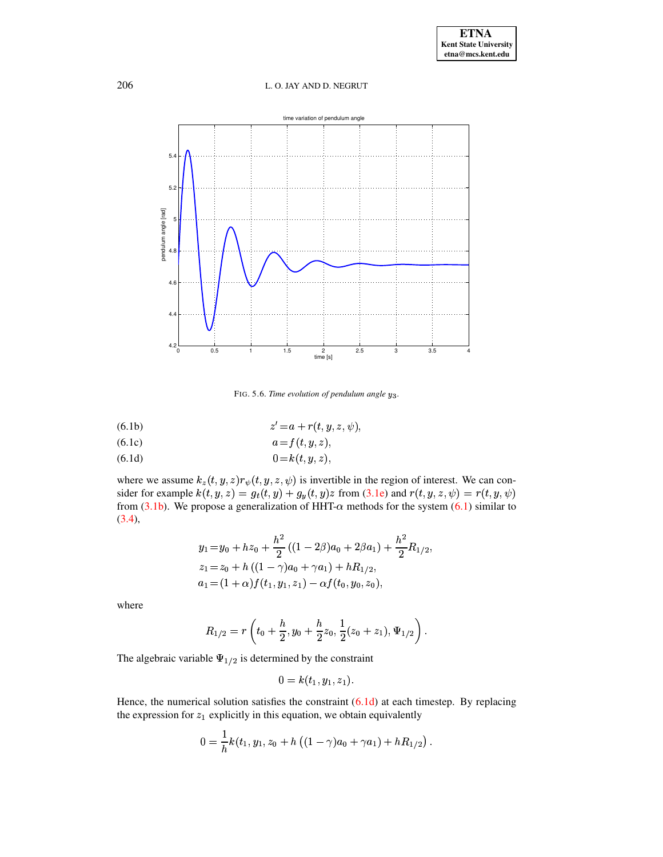

<span id="page-16-0"></span>FIG. 5.6. Time evolution of pendulum angle y<sub>3</sub>.

$$
(6.1b) \t\t\t z' = a + r(t, y, z, \psi)
$$

$$
(6.1c) \t\t a = f(t, y, z),
$$

$$
(6.1d) \t\t 0=k(t,y,z)
$$

where we assume  $k_z(t, y, z) r_{\psi}(t, y, z, \psi)$  is invertible in the region of interest. We can consider for example  $k(t, y, z) = g_t(t, y) + g_y(t, y)z$  from (3.1e) and  $r(t, y, z, \psi) = r(t, y, \psi)$ <br>from (3.1b). We propose a generalization of HHT- $\alpha$  methods for the system (6.1) similar to  $(3.4),$ 

$$
y_1 = y_0 + hz_0 + \frac{h^2}{2}((1 - 2\beta)a_0 + 2\beta a_1) + \frac{h^2}{2}R_{1/2},
$$
  
\n
$$
z_1 = z_0 + h((1 - \gamma)a_0 + \gamma a_1) + hR_{1/2},
$$
  
\n
$$
a_1 = (1 + \alpha) f(t_1, y_1, z_1) - \alpha f(t_0, y_0, z_0),
$$

where

$$
R_{1/2}=r\left(t_0+\frac{h}{2},y_0+\frac{h}{2}z_0,\frac{1}{2}(z_0+z_1),\Psi_{1/2}\right)
$$

The algebraic variable  $\Psi_{1/2}$  is determined by the constraint

$$
0=k(t_1,y_1,z_1).
$$

Hence, the numerical solution satisfies the constraint  $(6.1d)$  at each timestep. By replacing the expression for  $z_1$  explicitly in this equation, we obtain equivalently

$$
0 = \frac{1}{h}k(t_1, y_1, z_0 + h((1 - \gamma)a_0 + \gamma a_1) + hR_{1/2}).
$$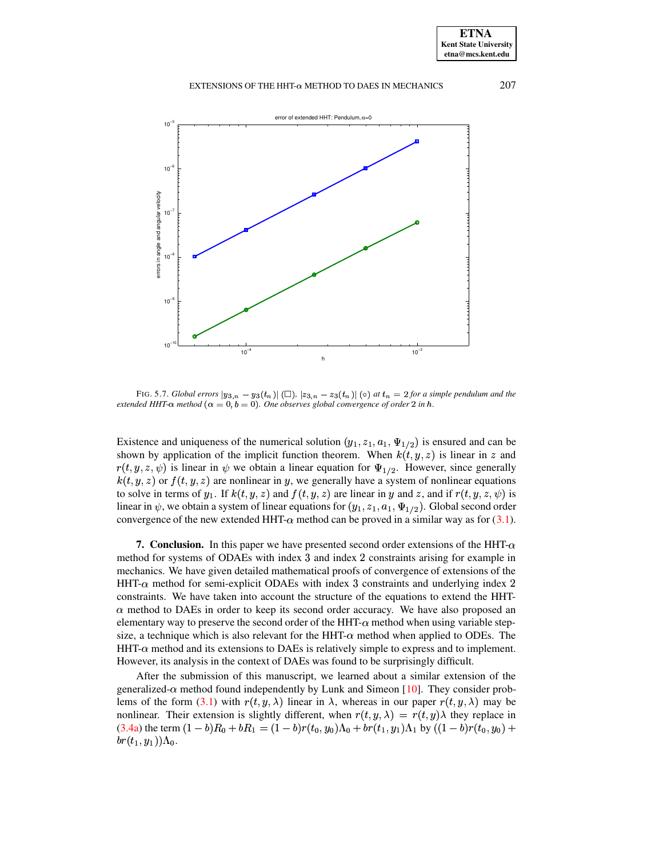

<span id="page-17-1"></span>FIG. 5.7. Global errors  $|y_{3,n} - y_3(t_n)|$  ( $\square$ ),  $|z_{3,n} - z_3(t_n)|$  ( $\circ$ ) at  $t_n = 2$  for a simple pendulum and the extended HHT- $\alpha$  method  $(\alpha = 0, b = 0)$ . One observes global convergence of order 2 in h.

Existence and uniqueness of the numerical solution  $(y_1, z_1, a_1, \Psi_{1/2})$  is ensured and can be shown by application of the implicit function theorem. When  $k(t, y, z)$  is linear in z and  $r(t, y, z, \psi)$  is linear in  $\psi$  we obtain a linear equation for  $\Psi_{1/2}$ . However, since generally  $k(t, y, z)$  or  $f(t, y, z)$  are nonlinear in y, we generally have a system of nonlinear equations to solve in terms of  $y_1$ . If  $k(t, y, z)$  and  $f(t, y, z)$  are linear in y and z, and if  $r(t, y, z, \psi)$  is linear in  $\psi$ , we obtain a system of linear equations for  $(y_1, z_1, a_1, \Psi_{1/2})$ . Global second order convergence of the new extended HHT- $\alpha$  method can be proved in a similar way as for (3.1).

<span id="page-17-0"></span>**7. Conclusion.** In this paper we have presented second order extensions of the HHT- $\alpha$ method for systems of ODAEs with index 3 and index 2 constraints arising for example in mechanics. We have given detailed mathematical proofs of convergence of extensions of the HHT- $\alpha$  method for semi-explicit ODAEs with index 3 constraints and underlying index 2 constraints. We have taken into account the structure of the equations to extend the HHT- $\alpha$  method to DAEs in order to keep its second order accuracy. We have also proposed an elementary way to preserve the second order of the HHT- $\alpha$  method when using variable stepsize, a technique which is also relevant for the HHT- $\alpha$  method when applied to ODEs. The  $HHT-\alpha$  method and its extensions to DAEs is relatively simple to express and to implement. However, its analysis in the context of DAEs was found to be surprisingly difficult.

After the submission of this manuscript, we learned about a similar extension of the generalized- $\alpha$  method found independently by Lunk and Simeon [10]. They consider problems of the form (3.1) with  $r(t, y, \lambda)$  linear in  $\lambda$ , whereas in our paper  $r(t, y, \lambda)$  may be nonlinear. Their extension is slightly different, when  $r(t, y, \lambda) = r(t, y)\lambda$  they replace in  $(3.4a)$  the term  $(1-b)R_0 + bR_1 = (1-b)r(t_0, y_0)\Lambda_0 + br(t_1, y_1)\Lambda_1$  by  $((1-b)r(t_0, y_0) +$  $br(t_1, y_1))\Lambda_0.$ 

**ETNA Kent State University** etna@mcs.kent.edu